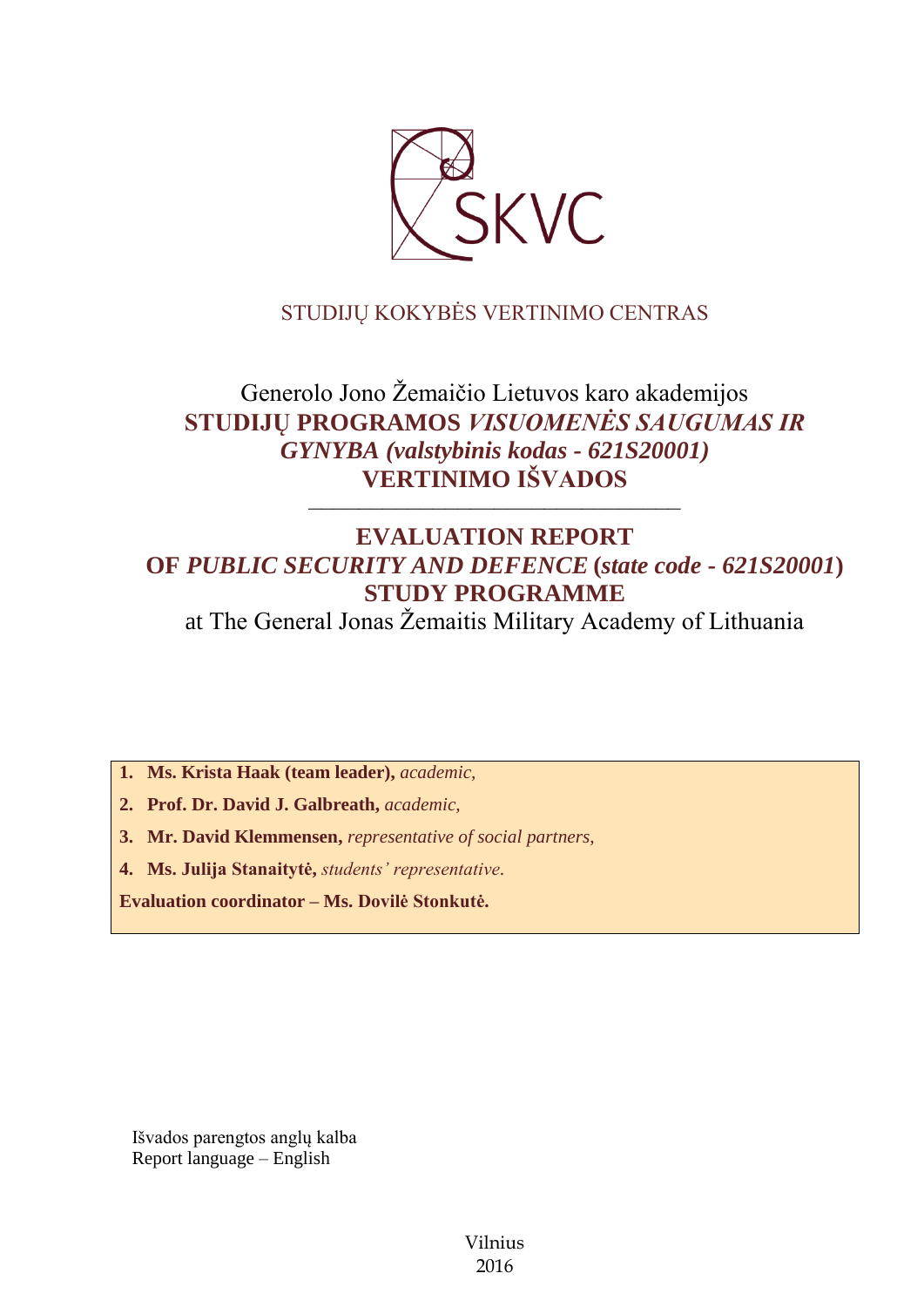

# STUDIJŲ KOKYBĖS VERTINIMO CENTRAS

# Generolo Jono Žemaičio Lietuvos karo akademijos **STUDIJŲ PROGRAMOS** *VISUOMENĖS SAUGUMAS IR GYNYBA (valstybinis kodas - 621S20001)* **VERTINIMO IŠVADOS**

# **EVALUATION REPORT OF** *PUBLIC SECURITY AND DEFENCE* **(***state code - 621S20001***) STUDY PROGRAMME**

––––––––––––––––––––––––––––––

at The General Jonas Žemaitis Military Academy of Lithuania

**1. Ms. Krista Haak (team leader),** *academic,*

**2. Prof. Dr. David J. Galbreath,** *academic,*

**3. Mr. David Klemmensen,** *representative of social partners,*

**4. Ms. Julija Stanaitytė,** *students' representative*.

**Evaluation coordinator – Ms. Dovilė Stonkutė.**

Išvados parengtos anglų kalba Report language – English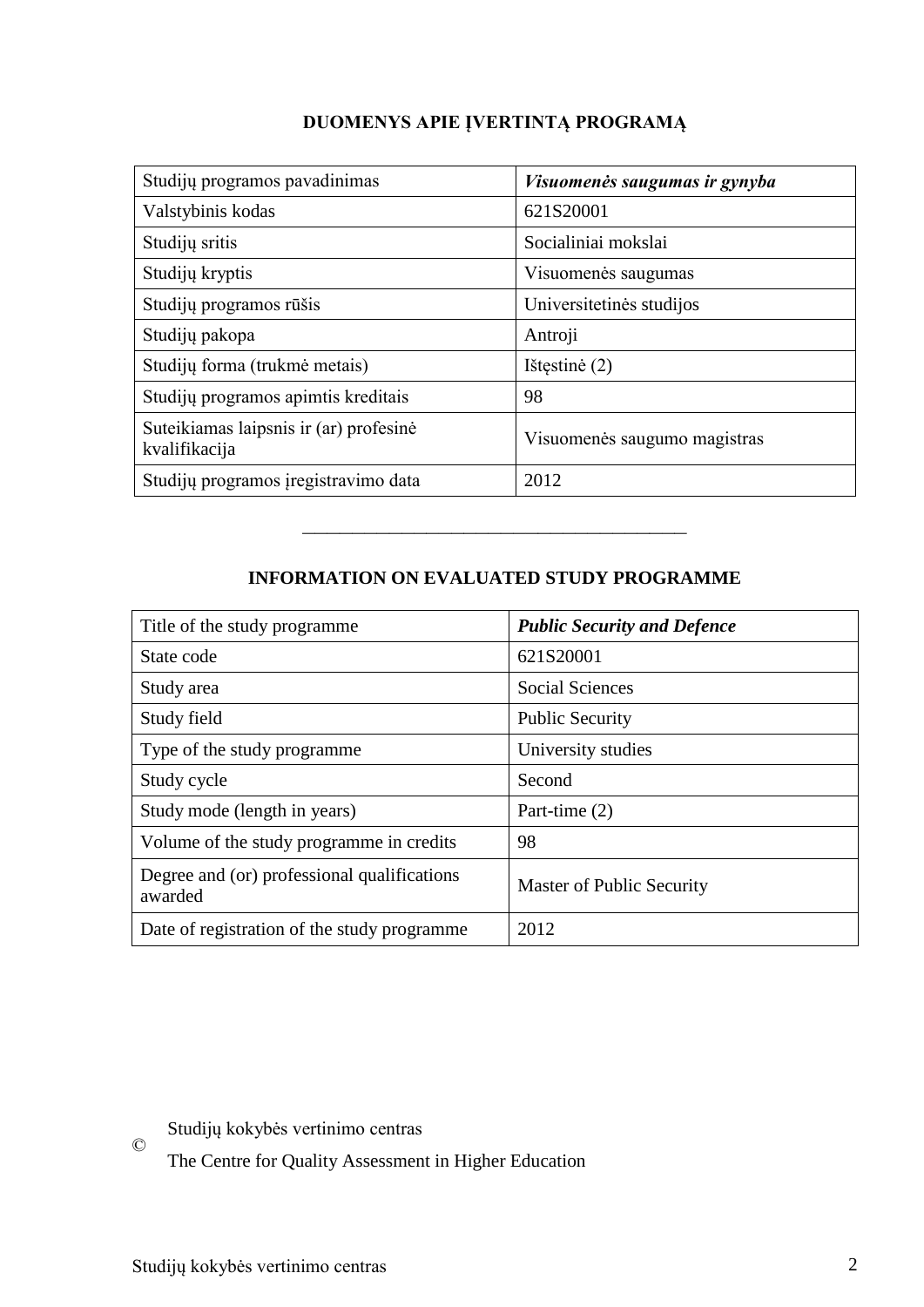| DUOMENYS APIE ĮVERTINTĄ PROGRAMĄ |  |  |
|----------------------------------|--|--|
|----------------------------------|--|--|

| Studijų programos pavadinimas                           | Visuomenės saugumas ir gynyba |
|---------------------------------------------------------|-------------------------------|
| Valstybinis kodas                                       | 621S20001                     |
| Studijų sritis                                          | Socialiniai mokslai           |
| Studijų kryptis                                         | Visuomenės saugumas           |
| Studijų programos rūšis                                 | Universitetinės studijos      |
| Studijų pakopa                                          | Antroji                       |
| Studijų forma (trukmė metais)                           | Ištęstinė (2)                 |
| Studijų programos apimtis kreditais                     | 98                            |
| Suteikiamas laipsnis ir (ar) profesinė<br>kvalifikacija | Visuomenės saugumo magistras  |
| Studijų programos įregistravimo data                    | 2012                          |

# **INFORMATION ON EVALUATED STUDY PROGRAMME**

–––––––––––––––––––––––––––––––

| Title of the study programme                           | <b>Public Security and Defence</b> |
|--------------------------------------------------------|------------------------------------|
| State code                                             | 621S20001                          |
| Study area                                             | <b>Social Sciences</b>             |
| Study field                                            | <b>Public Security</b>             |
| Type of the study programme                            | University studies                 |
| Study cycle                                            | Second                             |
| Study mode (length in years)                           | Part-time (2)                      |
| Volume of the study programme in credits               | 98                                 |
| Degree and (or) professional qualifications<br>awarded | Master of Public Security          |
| Date of registration of the study programme            | 2012                               |

 $\copyright$ Studijų kokybės vertinimo centras

The Centre for Quality Assessment in Higher Education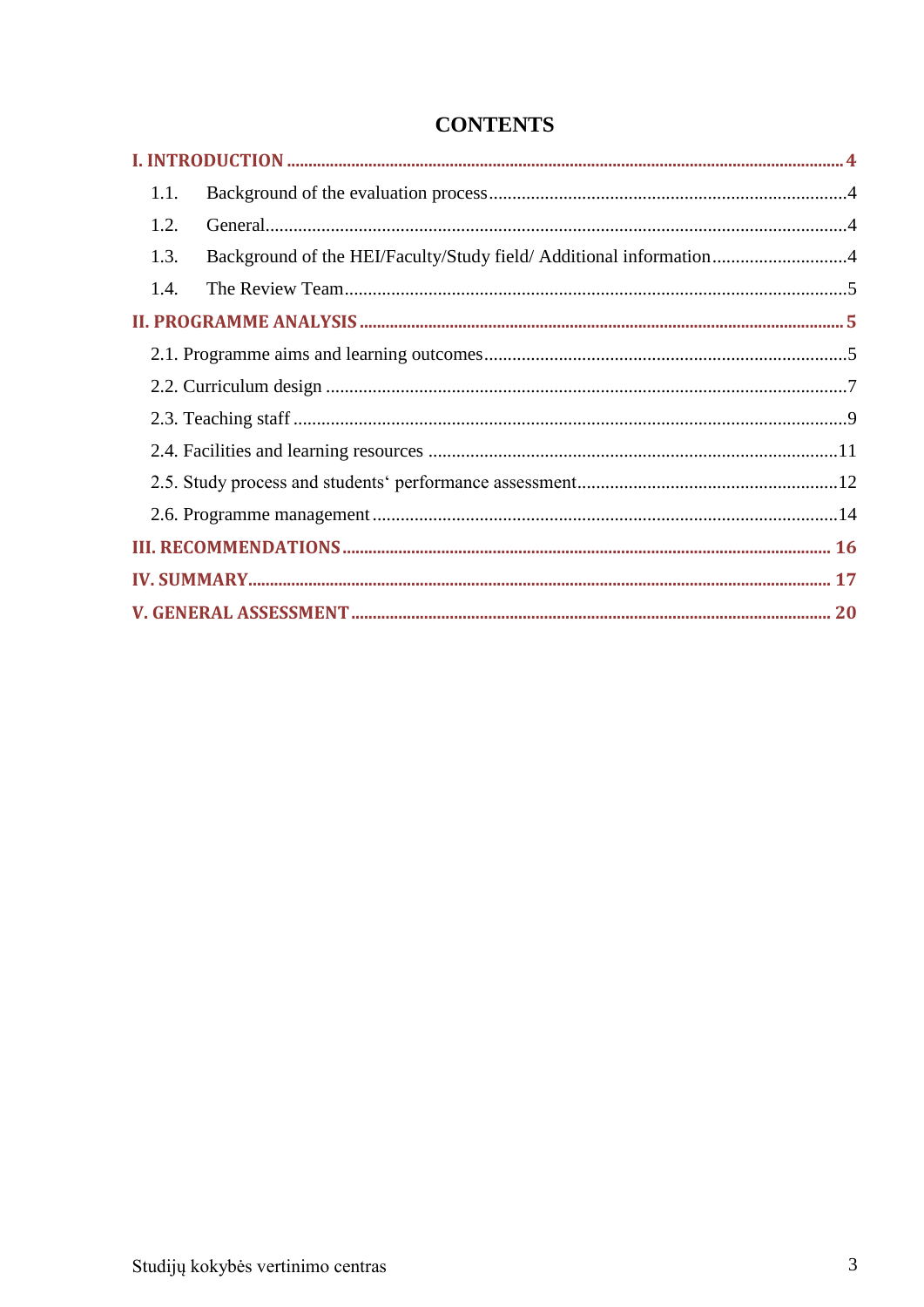| 1.1.                                                                       |  |
|----------------------------------------------------------------------------|--|
| 1.2.                                                                       |  |
| Background of the HEI/Faculty/Study field/ Additional information4<br>1.3. |  |
| 1.4.                                                                       |  |
|                                                                            |  |
|                                                                            |  |
|                                                                            |  |
|                                                                            |  |
|                                                                            |  |
|                                                                            |  |
|                                                                            |  |
|                                                                            |  |
|                                                                            |  |
|                                                                            |  |

# **CONTENTS**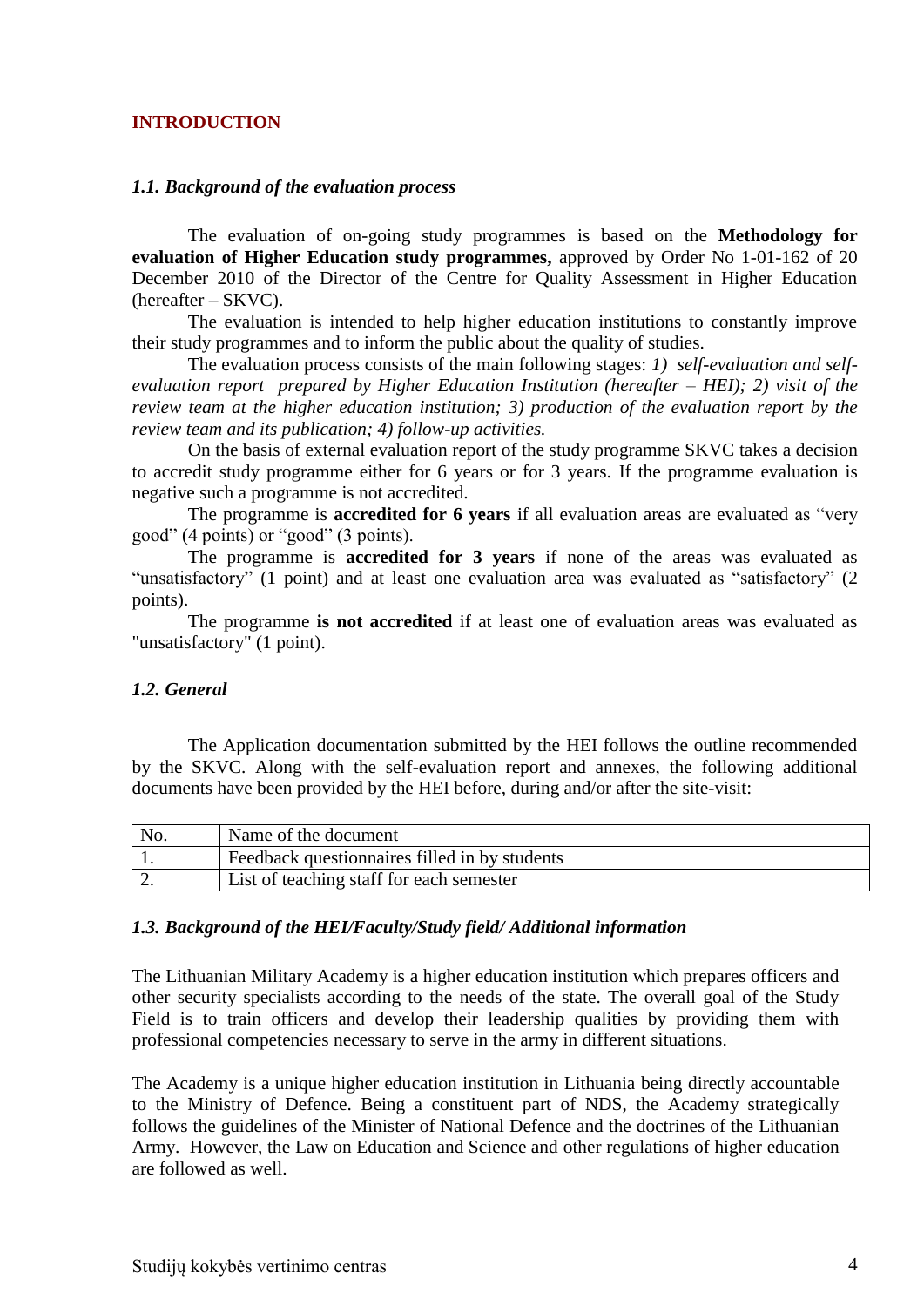#### <span id="page-3-0"></span>**INTRODUCTION**

#### <span id="page-3-1"></span>*1.1. Background of the evaluation process*

The evaluation of on-going study programmes is based on the **Methodology for evaluation of Higher Education study programmes,** approved by Order No 1-01-162 of 20 December 2010 of the Director of the Centre for Quality Assessment in Higher Education (hereafter – SKVC).

The evaluation is intended to help higher education institutions to constantly improve their study programmes and to inform the public about the quality of studies.

The evaluation process consists of the main following stages: *1) self-evaluation and selfevaluation report prepared by Higher Education Institution (hereafter – HEI); 2) visit of the review team at the higher education institution; 3) production of the evaluation report by the review team and its publication; 4) follow-up activities.* 

On the basis of external evaluation report of the study programme SKVC takes a decision to accredit study programme either for 6 years or for 3 years. If the programme evaluation is negative such a programme is not accredited.

The programme is **accredited for 6 years** if all evaluation areas are evaluated as "very good" (4 points) or "good" (3 points).

The programme is **accredited for 3 years** if none of the areas was evaluated as "unsatisfactory" (1 point) and at least one evaluation area was evaluated as "satisfactory" (2 points).

The programme **is not accredited** if at least one of evaluation areas was evaluated as "unsatisfactory" (1 point).

#### <span id="page-3-2"></span>*1.2. General*

The Application documentation submitted by the HEI follows the outline recommended by the SKVC. Along with the self-evaluation report and annexes, the following additional documents have been provided by the HEI before, during and/or after the site-visit:

| No. | Name of the document                                 |
|-----|------------------------------------------------------|
|     | <b>Feedback questionnaires filled in by students</b> |
| ـ ت | List of teaching staff for each semester             |

#### <span id="page-3-3"></span>*1.3. Background of the HEI/Faculty/Study field/ Additional information*

The Lithuanian Military Academy is a higher education institution which prepares officers and other security specialists according to the needs of the state. The overall goal of the Study Field is to train officers and develop their leadership qualities by providing them with professional competencies necessary to serve in the army in different situations.

The Academy is a unique higher education institution in Lithuania being directly accountable to the Ministry of Defence. Being a constituent part of NDS, the Academy strategically follows the guidelines of the Minister of National Defence and the doctrines of the Lithuanian Army. However, the Law on Education and Science and other regulations of higher education are followed as well.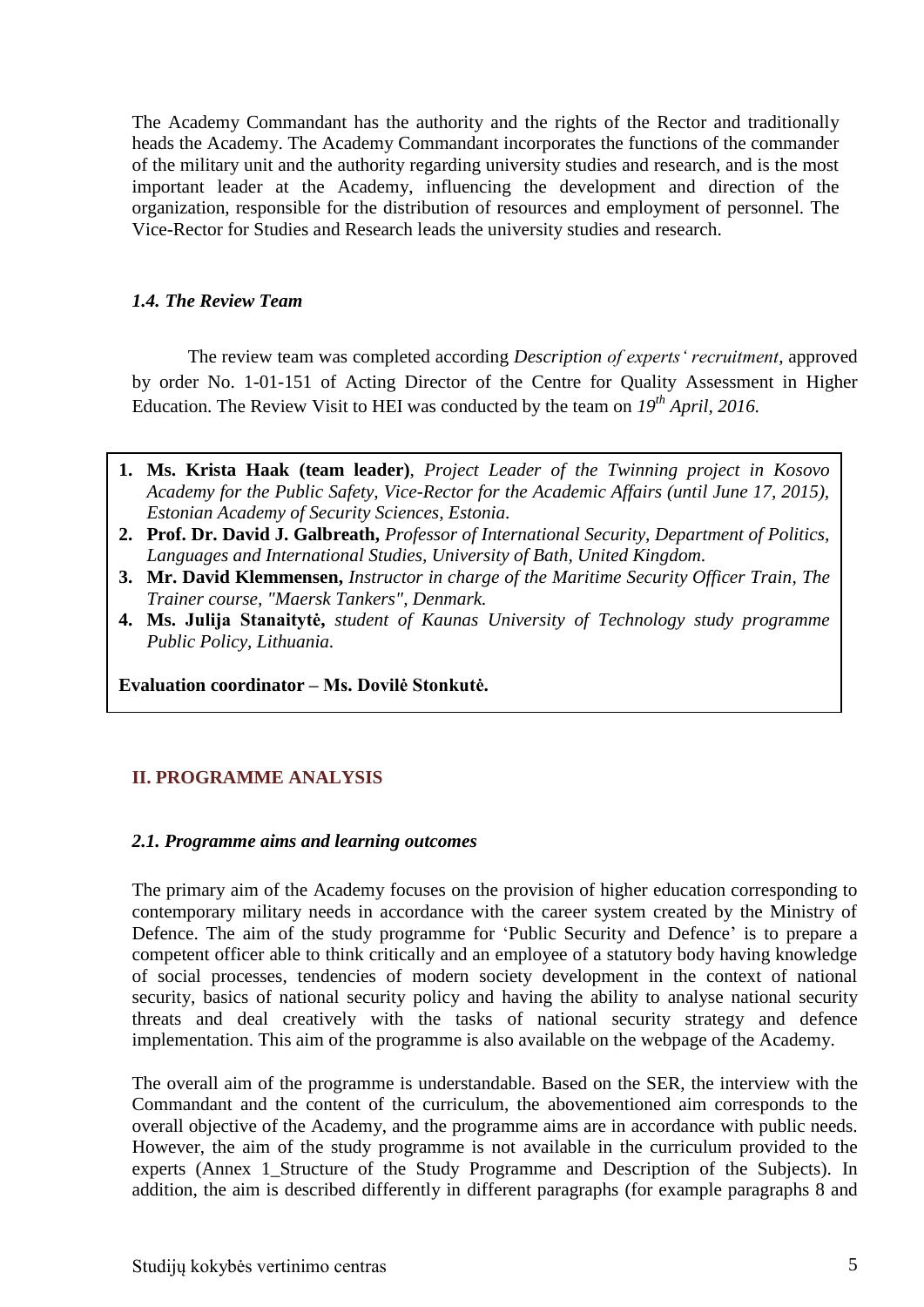The Academy Commandant has the authority and the rights of the Rector and traditionally heads the Academy. The Academy Commandant incorporates the functions of the commander of the military unit and the authority regarding university studies and research, and is the most important leader at the Academy, influencing the development and direction of the organization, responsible for the distribution of resources and employment of personnel. The Vice-Rector for Studies and Research leads the university studies and research.

### <span id="page-4-0"></span>*1.4. The Review Team*

The review team was completed according *Description of experts' recruitment*, approved by order No. 1-01-151 of Acting Director of the Centre for Quality Assessment in Higher Education. The Review Visit to HEI was conducted by the team on *19th April, 2016.*

- **1. Ms. Krista Haak (team leader)**, *Project Leader of the Twinning project in Kosovo Academy for the Public Safety, Vice-Rector for the Academic Affairs (until June 17, 2015), Estonian Academy of Security Sciences, Estonia.*
- **2. Prof. Dr. David J. Galbreath,** *Professor of International Security, Department of Politics, Languages and International Studies, University of Bath, United Kingdom.*
- **3. Mr. David Klemmensen,** *Instructor in charge of the Maritime Security Officer Train, The Trainer course, "Maersk Tankers", Denmark.*
- **4. Ms. Julija Stanaitytė,** *student of Kaunas University of Technology study programme Public Policy, Lithuania.*

<span id="page-4-1"></span>**Evaluation coordinator – Ms. Dovilė Stonkutė.**

### **II. PROGRAMME ANALYSIS**

#### <span id="page-4-2"></span>*2.1. Programme aims and learning outcomes*

The primary aim of the Academy focuses on the provision of higher education corresponding to contemporary military needs in accordance with the career system created by the Ministry of Defence. The aim of the study programme for 'Public Security and Defence' is to prepare a competent officer able to think critically and an employee of a statutory body having knowledge of social processes, tendencies of modern society development in the context of national security, basics of national security policy and having the ability to analyse national security threats and deal creatively with the tasks of national security strategy and defence implementation. This aim of the programme is also available on the webpage of the Academy.

The overall aim of the programme is understandable. Based on the SER, the interview with the Commandant and the content of the curriculum, the abovementioned aim corresponds to the overall objective of the Academy, and the programme aims are in accordance with public needs. However, the aim of the study programme is not available in the curriculum provided to the experts (Annex 1 Structure of the Study Programme and Description of the Subjects). In addition, the aim is described differently in different paragraphs (for example paragraphs 8 and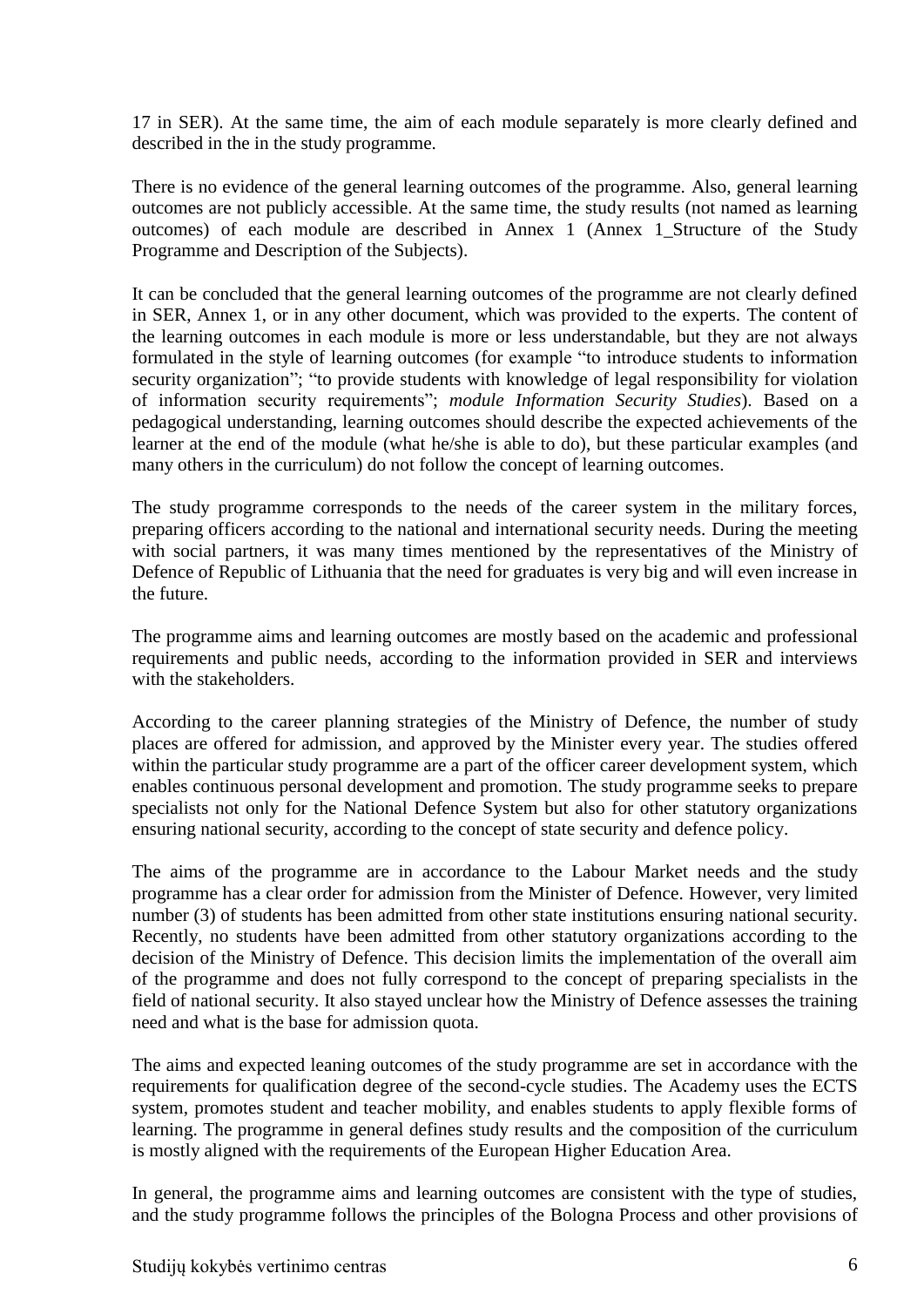17 in SER). At the same time, the aim of each module separately is more clearly defined and described in the in the study programme.

There is no evidence of the general learning outcomes of the programme. Also, general learning outcomes are not publicly accessible. At the same time, the study results (not named as learning outcomes) of each module are described in Annex 1 (Annex 1\_Structure of the Study Programme and Description of the Subjects).

It can be concluded that the general learning outcomes of the programme are not clearly defined in SER, Annex 1, or in any other document, which was provided to the experts. The content of the learning outcomes in each module is more or less understandable, but they are not always formulated in the style of learning outcomes (for example "to introduce students to information security organization"; "to provide students with knowledge of legal responsibility for violation of information security requirements"; *module Information Security Studies*). Based on a pedagogical understanding, learning outcomes should describe the expected achievements of the learner at the end of the module (what he/she is able to do), but these particular examples (and many others in the curriculum) do not follow the concept of learning outcomes.

The study programme corresponds to the needs of the career system in the military forces, preparing officers according to the national and international security needs. During the meeting with social partners, it was many times mentioned by the representatives of the Ministry of Defence of Republic of Lithuania that the need for graduates is very big and will even increase in the future.

The programme aims and learning outcomes are mostly based on the academic and professional requirements and public needs, according to the information provided in SER and interviews with the stakeholders.

According to the career planning strategies of the Ministry of Defence, the number of study places are offered for admission, and approved by the Minister every year. The studies offered within the particular study programme are a part of the officer career development system, which enables continuous personal development and promotion. The study programme seeks to prepare specialists not only for the National Defence System but also for other statutory organizations ensuring national security, according to the concept of state security and defence policy.

The aims of the programme are in accordance to the Labour Market needs and the study programme has a clear order for admission from the Minister of Defence. However, very limited number (3) of students has been admitted from other state institutions ensuring national security. Recently, no students have been admitted from other statutory organizations according to the decision of the Ministry of Defence. This decision limits the implementation of the overall aim of the programme and does not fully correspond to the concept of preparing specialists in the field of national security. It also stayed unclear how the Ministry of Defence assesses the training need and what is the base for admission quota.

The aims and expected leaning outcomes of the study programme are set in accordance with the requirements for qualification degree of the second-cycle studies. The Academy uses the ECTS system, promotes student and teacher mobility, and enables students to apply flexible forms of learning. The programme in general defines study results and the composition of the curriculum is mostly aligned with the requirements of the European Higher Education Area.

In general, the programme aims and learning outcomes are consistent with the type of studies, and the study programme follows the principles of the Bologna Process and other provisions of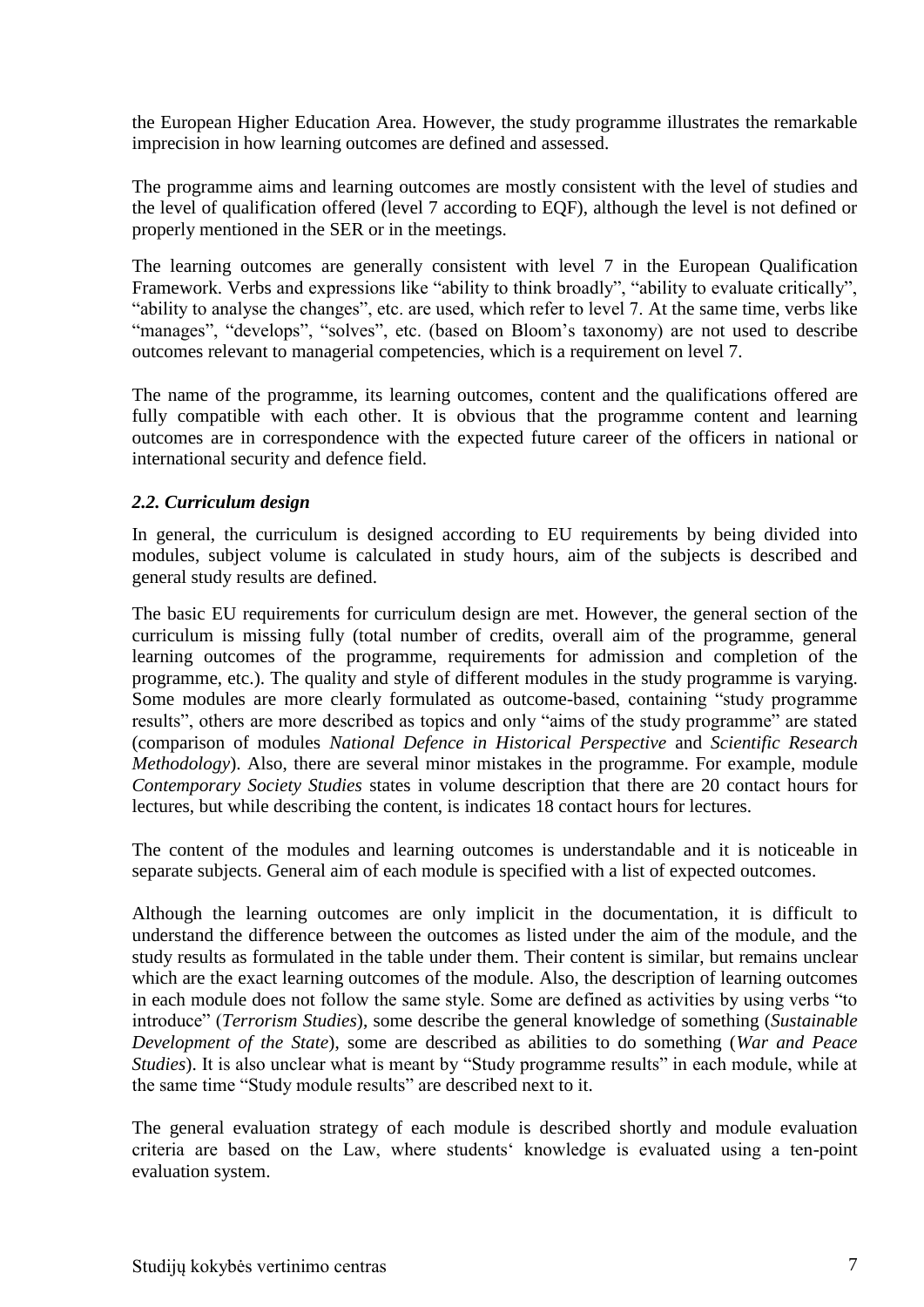the European Higher Education Area. However, the study programme illustrates the remarkable imprecision in how learning outcomes are defined and assessed.

The programme aims and learning outcomes are mostly consistent with the level of studies and the level of qualification offered (level 7 according to EQF), although the level is not defined or properly mentioned in the SER or in the meetings.

The learning outcomes are generally consistent with level 7 in the European Qualification Framework. Verbs and expressions like "ability to think broadly", "ability to evaluate critically", "ability to analyse the changes", etc. are used, which refer to level 7. At the same time, verbs like "manages", "develops", "solves", etc. (based on Bloom's taxonomy) are not used to describe outcomes relevant to managerial competencies, which is a requirement on level 7.

The name of the programme, its learning outcomes, content and the qualifications offered are fully compatible with each other. It is obvious that the programme content and learning outcomes are in correspondence with the expected future career of the officers in national or international security and defence field.

### <span id="page-6-0"></span>*2.2. Curriculum design*

In general, the curriculum is designed according to EU requirements by being divided into modules, subject volume is calculated in study hours, aim of the subjects is described and general study results are defined.

The basic EU requirements for curriculum design are met. However, the general section of the curriculum is missing fully (total number of credits, overall aim of the programme, general learning outcomes of the programme, requirements for admission and completion of the programme, etc.). The quality and style of different modules in the study programme is varying. Some modules are more clearly formulated as outcome-based, containing "study programme results", others are more described as topics and only "aims of the study programme" are stated (comparison of modules *National Defence in Historical Perspective* and *Scientific Research Methodology*). Also, there are several minor mistakes in the programme. For example, module *Contemporary Society Studies* states in volume description that there are 20 contact hours for lectures, but while describing the content, is indicates 18 contact hours for lectures.

The content of the modules and learning outcomes is understandable and it is noticeable in separate subjects. General aim of each module is specified with a list of expected outcomes.

Although the learning outcomes are only implicit in the documentation, it is difficult to understand the difference between the outcomes as listed under the aim of the module, and the study results as formulated in the table under them. Their content is similar, but remains unclear which are the exact learning outcomes of the module. Also, the description of learning outcomes in each module does not follow the same style. Some are defined as activities by using verbs "to introduce" (*Terrorism Studies*), some describe the general knowledge of something (*Sustainable Development of the State*), some are described as abilities to do something (*War and Peace Studies*). It is also unclear what is meant by "Study programme results" in each module, while at the same time "Study module results" are described next to it.

The general evaluation strategy of each module is described shortly and module evaluation criteria are based on the Law, where students' knowledge is evaluated using a ten-point evaluation system.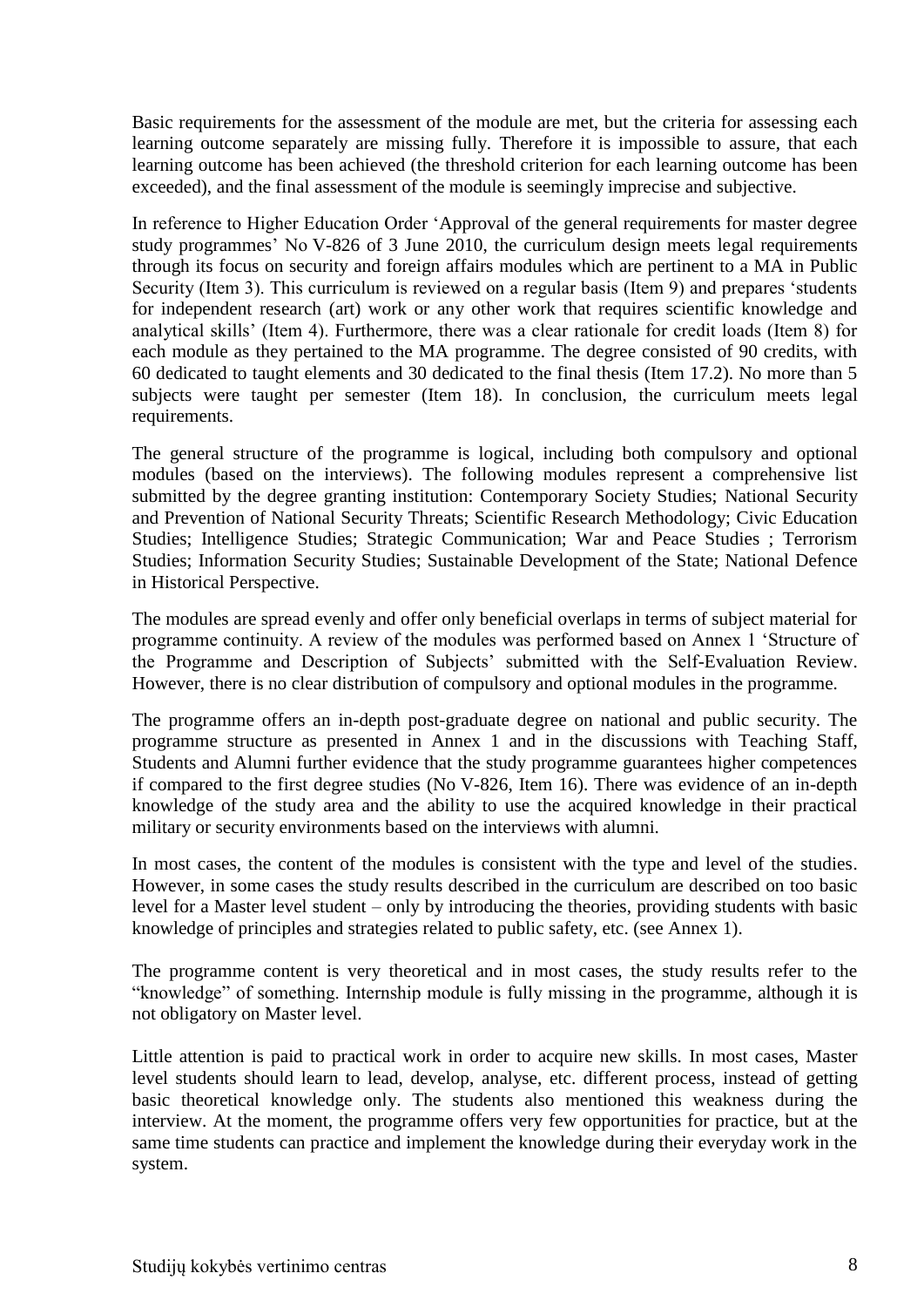Basic requirements for the assessment of the module are met, but the criteria for assessing each learning outcome separately are missing fully. Therefore it is impossible to assure, that each learning outcome has been achieved (the threshold criterion for each learning outcome has been exceeded), and the final assessment of the module is seemingly imprecise and subjective.

In reference to Higher Education Order 'Approval of the general requirements for master degree study programmes' No V-826 of 3 June 2010, the curriculum design meets legal requirements through its focus on security and foreign affairs modules which are pertinent to a MA in Public Security (Item 3). This curriculum is reviewed on a regular basis (Item 9) and prepares 'students for independent research (art) work or any other work that requires scientific knowledge and analytical skills' (Item 4). Furthermore, there was a clear rationale for credit loads (Item 8) for each module as they pertained to the MA programme. The degree consisted of 90 credits, with 60 dedicated to taught elements and 30 dedicated to the final thesis (Item 17.2). No more than 5 subjects were taught per semester (Item 18). In conclusion, the curriculum meets legal requirements.

The general structure of the programme is logical, including both compulsory and optional modules (based on the interviews). The following modules represent a comprehensive list submitted by the degree granting institution: Contemporary Society Studies; National Security and Prevention of National Security Threats; Scientific Research Methodology; Civic Education Studies; Intelligence Studies; Strategic Communication; War and Peace Studies ; Terrorism Studies; Information Security Studies; Sustainable Development of the State; National Defence in Historical Perspective.

The modules are spread evenly and offer only beneficial overlaps in terms of subject material for programme continuity. A review of the modules was performed based on Annex 1 'Structure of the Programme and Description of Subjects' submitted with the Self-Evaluation Review. However, there is no clear distribution of compulsory and optional modules in the programme.

The programme offers an in-depth post-graduate degree on national and public security. The programme structure as presented in Annex 1 and in the discussions with Teaching Staff, Students and Alumni further evidence that the study programme guarantees higher competences if compared to the first degree studies (No V-826, Item 16). There was evidence of an in-depth knowledge of the study area and the ability to use the acquired knowledge in their practical military or security environments based on the interviews with alumni.

In most cases, the content of the modules is consistent with the type and level of the studies. However, in some cases the study results described in the curriculum are described on too basic level for a Master level student – only by introducing the theories, providing students with basic knowledge of principles and strategies related to public safety, etc. (see Annex 1).

The programme content is very theoretical and in most cases, the study results refer to the "knowledge" of something. Internship module is fully missing in the programme, although it is not obligatory on Master level.

Little attention is paid to practical work in order to acquire new skills. In most cases, Master level students should learn to lead, develop, analyse, etc. different process, instead of getting basic theoretical knowledge only. The students also mentioned this weakness during the interview. At the moment, the programme offers very few opportunities for practice, but at the same time students can practice and implement the knowledge during their everyday work in the system.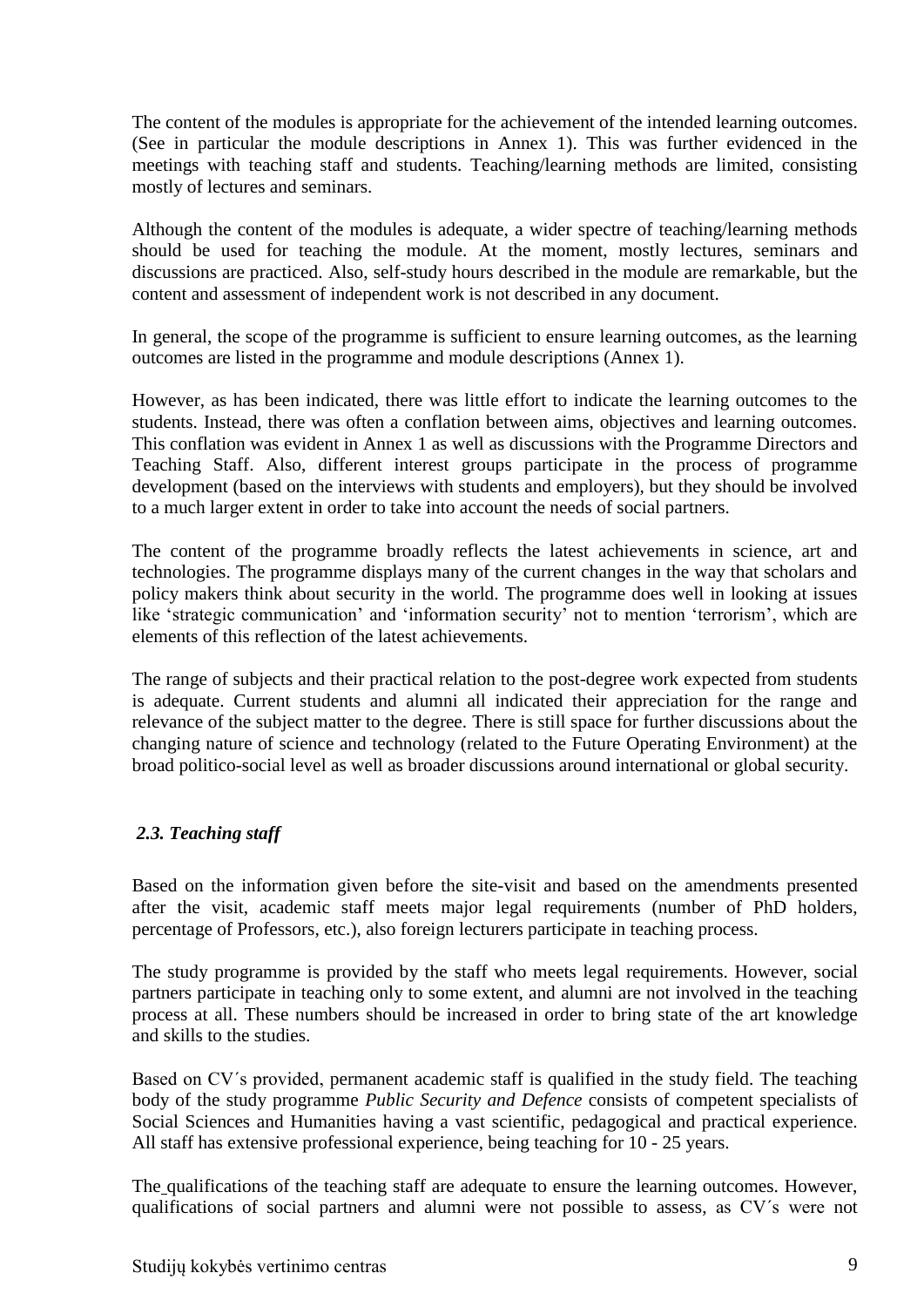The content of the modules is appropriate for the achievement of the intended learning outcomes. (See in particular the module descriptions in Annex 1). This was further evidenced in the meetings with teaching staff and students. Teaching/learning methods are limited, consisting mostly of lectures and seminars.

Although the content of the modules is adequate, a wider spectre of teaching/learning methods should be used for teaching the module. At the moment, mostly lectures, seminars and discussions are practiced. Also, self-study hours described in the module are remarkable, but the content and assessment of independent work is not described in any document.

In general, the scope of the programme is sufficient to ensure learning outcomes, as the learning outcomes are listed in the programme and module descriptions (Annex 1).

However, as has been indicated, there was little effort to indicate the learning outcomes to the students. Instead, there was often a conflation between aims, objectives and learning outcomes. This conflation was evident in Annex 1 as well as discussions with the Programme Directors and Teaching Staff. Also, different interest groups participate in the process of programme development (based on the interviews with students and employers), but they should be involved to a much larger extent in order to take into account the needs of social partners.

The content of the programme broadly reflects the latest achievements in science, art and technologies. The programme displays many of the current changes in the way that scholars and policy makers think about security in the world. The programme does well in looking at issues like 'strategic communication' and 'information security' not to mention 'terrorism', which are elements of this reflection of the latest achievements.

The range of subjects and their practical relation to the post-degree work expected from students is adequate. Current students and alumni all indicated their appreciation for the range and relevance of the subject matter to the degree. There is still space for further discussions about the changing nature of science and technology (related to the Future Operating Environment) at the broad politico-social level as well as broader discussions around international or global security.

### <span id="page-8-0"></span>*2.3. Teaching staff*

Based on the information given before the site-visit and based on the amendments presented after the visit, academic staff meets major legal requirements (number of PhD holders, percentage of Professors, etc.), also foreign lecturers participate in teaching process.

The study programme is provided by the staff who meets legal requirements. However, social partners participate in teaching only to some extent, and alumni are not involved in the teaching process at all. These numbers should be increased in order to bring state of the art knowledge and skills to the studies.

Based on CV´s provided, permanent academic staff is qualified in the study field. The teaching body of the study programme *Public Security and Defence* consists of competent specialists of Social Sciences and Humanities having a vast scientific, pedagogical and practical experience. All staff has extensive professional experience, being teaching for 10 - 25 years.

The qualifications of the teaching staff are adequate to ensure the learning outcomes. However, qualifications of social partners and alumni were not possible to assess, as CV´s were not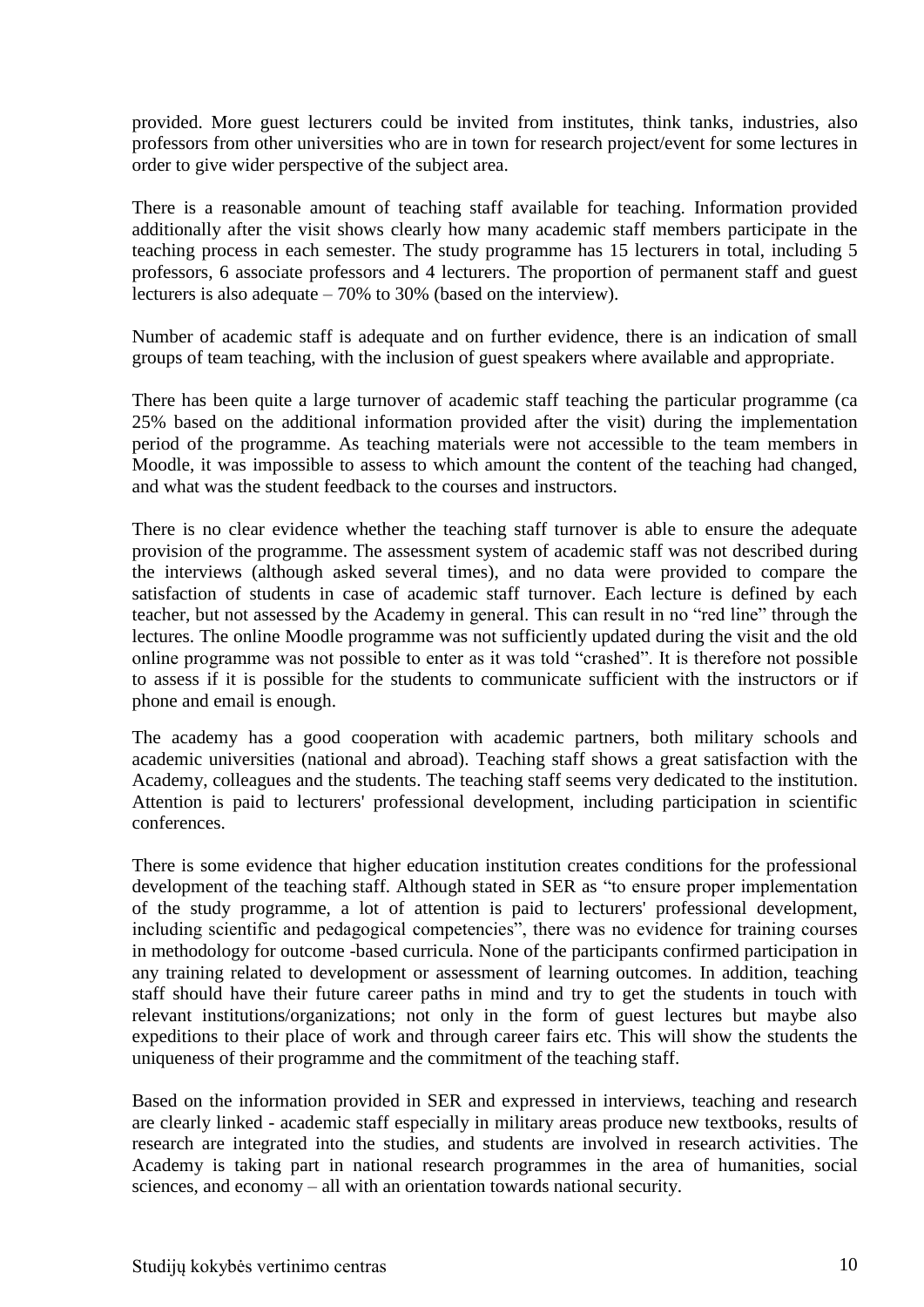provided. More guest lecturers could be invited from institutes, think tanks, industries, also professors from other universities who are in town for research project/event for some lectures in order to give wider perspective of the subject area.

There is a reasonable amount of teaching staff available for teaching. Information provided additionally after the visit shows clearly how many academic staff members participate in the teaching process in each semester. The study programme has 15 lecturers in total, including 5 professors, 6 associate professors and 4 lecturers. The proportion of permanent staff and guest lecturers is also adequate – 70% to 30% (based on the interview).

Number of academic staff is adequate and on further evidence, there is an indication of small groups of team teaching, with the inclusion of guest speakers where available and appropriate.

There has been quite a large turnover of academic staff teaching the particular programme (ca 25% based on the additional information provided after the visit) during the implementation period of the programme. As teaching materials were not accessible to the team members in Moodle, it was impossible to assess to which amount the content of the teaching had changed, and what was the student feedback to the courses and instructors.

There is no clear evidence whether the teaching staff turnover is able to ensure the adequate provision of the programme. The assessment system of academic staff was not described during the interviews (although asked several times), and no data were provided to compare the satisfaction of students in case of academic staff turnover. Each lecture is defined by each teacher, but not assessed by the Academy in general. This can result in no "red line" through the lectures. The online Moodle programme was not sufficiently updated during the visit and the old online programme was not possible to enter as it was told "crashed". It is therefore not possible to assess if it is possible for the students to communicate sufficient with the instructors or if phone and email is enough.

The academy has a good cooperation with academic partners, both military schools and academic universities (national and abroad). Teaching staff shows a great satisfaction with the Academy, colleagues and the students. The teaching staff seems very dedicated to the institution. Attention is paid to lecturers' professional development, including participation in scientific conferences.

There is some evidence that higher education institution creates conditions for the professional development of the teaching staff. Although stated in SER as "to ensure proper implementation of the study programme, a lot of attention is paid to lecturers' professional development, including scientific and pedagogical competencies", there was no evidence for training courses in methodology for outcome -based curricula. None of the participants confirmed participation in any training related to development or assessment of learning outcomes. In addition, teaching staff should have their future career paths in mind and try to get the students in touch with relevant institutions/organizations; not only in the form of guest lectures but maybe also expeditions to their place of work and through career fairs etc. This will show the students the uniqueness of their programme and the commitment of the teaching staff.

Based on the information provided in SER and expressed in interviews, teaching and research are clearly linked - academic staff especially in military areas produce new textbooks, results of research are integrated into the studies, and students are involved in research activities. The Academy is taking part in national research programmes in the area of humanities, social sciences, and economy – all with an orientation towards national security.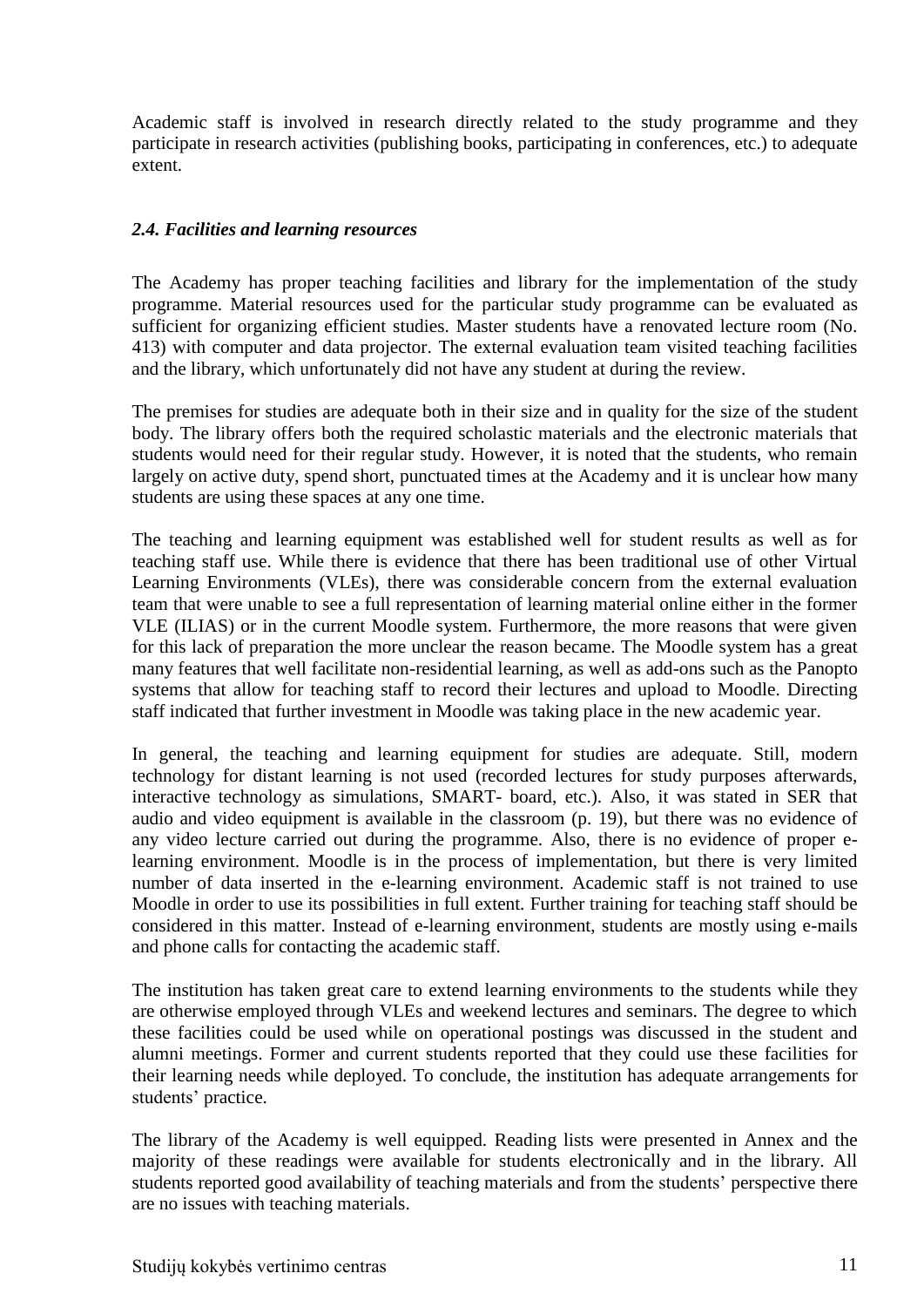Academic staff is involved in research directly related to the study programme and they participate in research activities (publishing books, participating in conferences, etc.) to adequate extent.

#### <span id="page-10-0"></span>*2.4. Facilities and learning resources*

The Academy has proper teaching facilities and library for the implementation of the study programme. Material resources used for the particular study programme can be evaluated as sufficient for organizing efficient studies. Master students have a renovated lecture room (No. 413) with computer and data projector. The external evaluation team visited teaching facilities and the library, which unfortunately did not have any student at during the review.

The premises for studies are adequate both in their size and in quality for the size of the student body. The library offers both the required scholastic materials and the electronic materials that students would need for their regular study. However, it is noted that the students, who remain largely on active duty, spend short, punctuated times at the Academy and it is unclear how many students are using these spaces at any one time.

The teaching and learning equipment was established well for student results as well as for teaching staff use. While there is evidence that there has been traditional use of other Virtual Learning Environments (VLEs), there was considerable concern from the external evaluation team that were unable to see a full representation of learning material online either in the former VLE (ILIAS) or in the current Moodle system. Furthermore, the more reasons that were given for this lack of preparation the more unclear the reason became. The Moodle system has a great many features that well facilitate non-residential learning, as well as add-ons such as the Panopto systems that allow for teaching staff to record their lectures and upload to Moodle. Directing staff indicated that further investment in Moodle was taking place in the new academic year.

In general, the teaching and learning equipment for studies are adequate. Still, modern technology for distant learning is not used (recorded lectures for study purposes afterwards, interactive technology as simulations, SMART- board, etc.). Also, it was stated in SER that audio and video equipment is available in the classroom (p. 19), but there was no evidence of any video lecture carried out during the programme. Also, there is no evidence of proper elearning environment. Moodle is in the process of implementation, but there is very limited number of data inserted in the e-learning environment. Academic staff is not trained to use Moodle in order to use its possibilities in full extent. Further training for teaching staff should be considered in this matter. Instead of e-learning environment, students are mostly using e-mails and phone calls for contacting the academic staff.

The institution has taken great care to extend learning environments to the students while they are otherwise employed through VLEs and weekend lectures and seminars. The degree to which these facilities could be used while on operational postings was discussed in the student and alumni meetings. Former and current students reported that they could use these facilities for their learning needs while deployed. To conclude, the institution has adequate arrangements for students' practice.

The library of the Academy is well equipped. Reading lists were presented in Annex and the majority of these readings were available for students electronically and in the library. All students reported good availability of teaching materials and from the students' perspective there are no issues with teaching materials.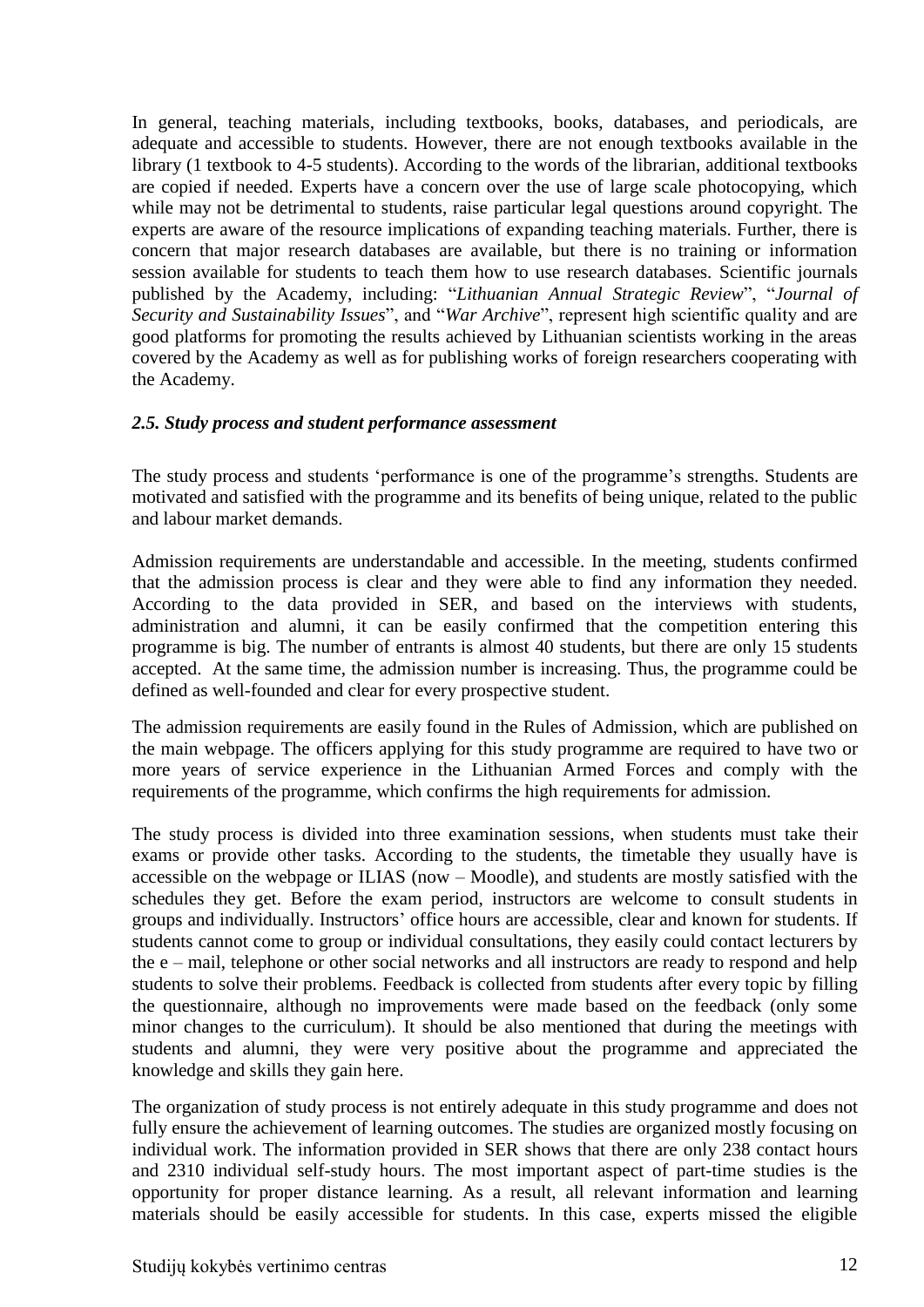In general, teaching materials, including textbooks, books, databases, and periodicals, are adequate and accessible to students. However, there are not enough textbooks available in the library (1 textbook to 4-5 students). According to the words of the librarian, additional textbooks are copied if needed. Experts have a concern over the use of large scale photocopying, which while may not be detrimental to students, raise particular legal questions around copyright. The experts are aware of the resource implications of expanding teaching materials. Further, there is concern that major research databases are available, but there is no training or information session available for students to teach them how to use research databases. Scientific journals published by the Academy, including: "*Lithuanian Annual Strategic Review*", "*Journal of Security and Sustainability Issues*", and "*War Archive*", represent high scientific quality and are good platforms for promoting the results achieved by Lithuanian scientists working in the areas covered by the Academy as well as for publishing works of foreign researchers cooperating with the Academy.

#### <span id="page-11-0"></span>*2.5. Study process and student performance assessment*

The study process and students 'performance is one of the programme's strengths. Students are motivated and satisfied with the programme and its benefits of being unique, related to the public and labour market demands.

Admission requirements are understandable and accessible. In the meeting, students confirmed that the admission process is clear and they were able to find any information they needed. According to the data provided in SER, and based on the interviews with students, administration and alumni, it can be easily confirmed that the competition entering this programme is big. The number of entrants is almost 40 students, but there are only 15 students accepted. At the same time, the admission number is increasing. Thus, the programme could be defined as well-founded and clear for every prospective student.

The admission requirements are easily found in the Rules of Admission, which are published on the main webpage. The officers applying for this study programme are required to have two or more years of service experience in the Lithuanian Armed Forces and comply with the requirements of the programme, which confirms the high requirements for admission.

The study process is divided into three examination sessions, when students must take their exams or provide other tasks. According to the students, the timetable they usually have is accessible on the webpage or ILIAS (now – Moodle), and students are mostly satisfied with the schedules they get. Before the exam period, instructors are welcome to consult students in groups and individually. Instructors' office hours are accessible, clear and known for students. If students cannot come to group or individual consultations, they easily could contact lecturers by the e – mail, telephone or other social networks and all instructors are ready to respond and help students to solve their problems. Feedback is collected from students after every topic by filling the questionnaire, although no improvements were made based on the feedback (only some minor changes to the curriculum). It should be also mentioned that during the meetings with students and alumni, they were very positive about the programme and appreciated the knowledge and skills they gain here.

The organization of study process is not entirely adequate in this study programme and does not fully ensure the achievement of learning outcomes. The studies are organized mostly focusing on individual work. The information provided in SER shows that there are only 238 contact hours and 2310 individual self-study hours. The most important aspect of part-time studies is the opportunity for proper distance learning. As a result, all relevant information and learning materials should be easily accessible for students. In this case, experts missed the eligible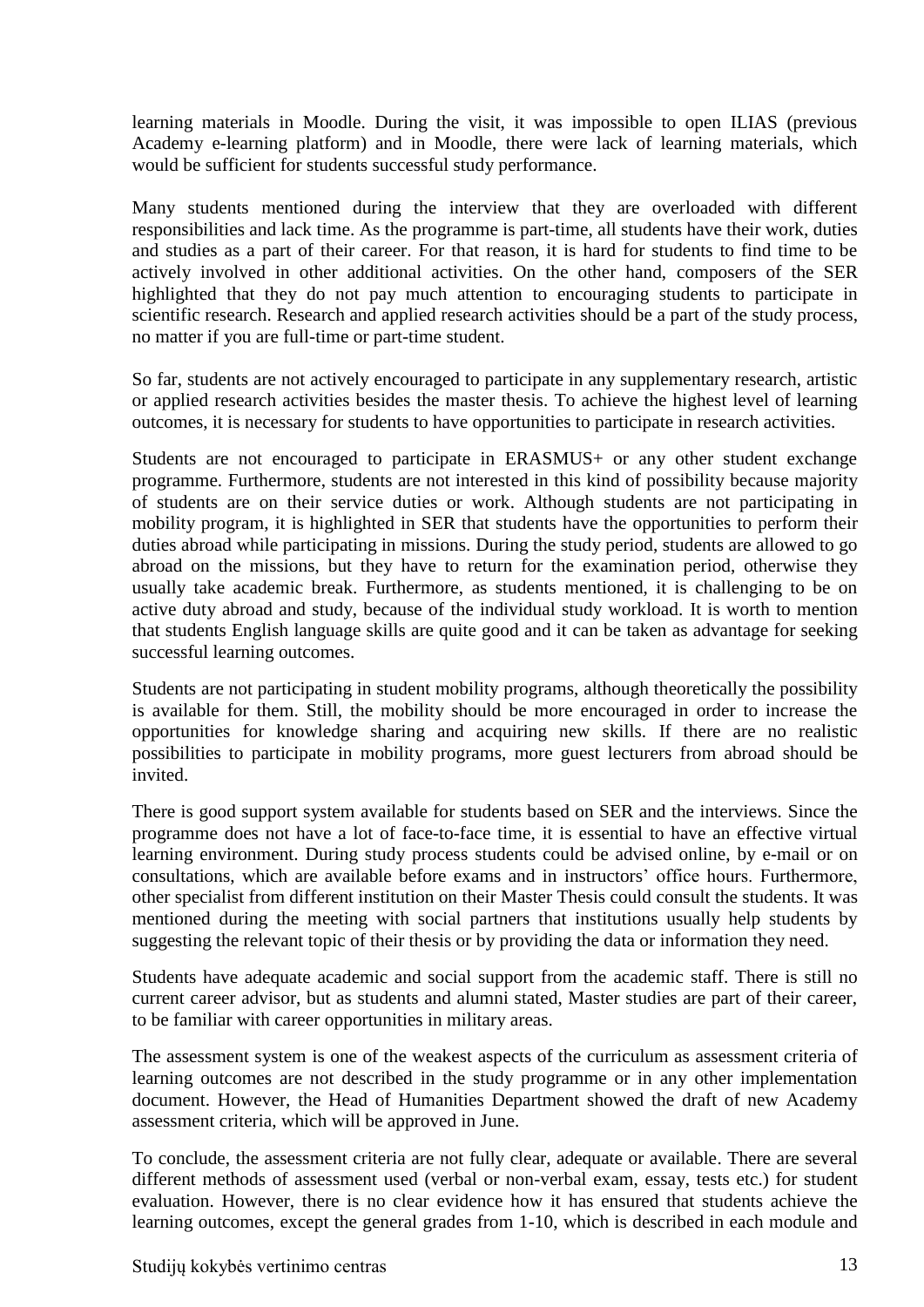learning materials in Moodle. During the visit, it was impossible to open ILIAS (previous Academy e-learning platform) and in Moodle, there were lack of learning materials, which would be sufficient for students successful study performance.

Many students mentioned during the interview that they are overloaded with different responsibilities and lack time. As the programme is part-time, all students have their work, duties and studies as a part of their career. For that reason, it is hard for students to find time to be actively involved in other additional activities. On the other hand, composers of the SER highlighted that they do not pay much attention to encouraging students to participate in scientific research. Research and applied research activities should be a part of the study process, no matter if you are full-time or part-time student.

So far, students are not actively encouraged to participate in any supplementary research, artistic or applied research activities besides the master thesis. To achieve the highest level of learning outcomes, it is necessary for students to have opportunities to participate in research activities.

Students are not encouraged to participate in ERASMUS+ or any other student exchange programme. Furthermore, students are not interested in this kind of possibility because majority of students are on their service duties or work. Although students are not participating in mobility program, it is highlighted in SER that students have the opportunities to perform their duties abroad while participating in missions. During the study period, students are allowed to go abroad on the missions, but they have to return for the examination period, otherwise they usually take academic break. Furthermore, as students mentioned, it is challenging to be on active duty abroad and study, because of the individual study workload. It is worth to mention that students English language skills are quite good and it can be taken as advantage for seeking successful learning outcomes.

Students are not participating in student mobility programs, although theoretically the possibility is available for them. Still, the mobility should be more encouraged in order to increase the opportunities for knowledge sharing and acquiring new skills. If there are no realistic possibilities to participate in mobility programs, more guest lecturers from abroad should be invited.

There is good support system available for students based on SER and the interviews. Since the programme does not have a lot of face-to-face time, it is essential to have an effective virtual learning environment. During study process students could be advised online, by e-mail or on consultations, which are available before exams and in instructors' office hours. Furthermore, other specialist from different institution on their Master Thesis could consult the students. It was mentioned during the meeting with social partners that institutions usually help students by suggesting the relevant topic of their thesis or by providing the data or information they need.

Students have adequate academic and social support from the academic staff. There is still no current career advisor, but as students and alumni stated, Master studies are part of their career, to be familiar with career opportunities in military areas.

The assessment system is one of the weakest aspects of the curriculum as assessment criteria of learning outcomes are not described in the study programme or in any other implementation document. However, the Head of Humanities Department showed the draft of new Academy assessment criteria, which will be approved in June.

To conclude, the assessment criteria are not fully clear, adequate or available. There are several different methods of assessment used (verbal or non-verbal exam, essay, tests etc.) for student evaluation. However, there is no clear evidence how it has ensured that students achieve the learning outcomes, except the general grades from 1-10, which is described in each module and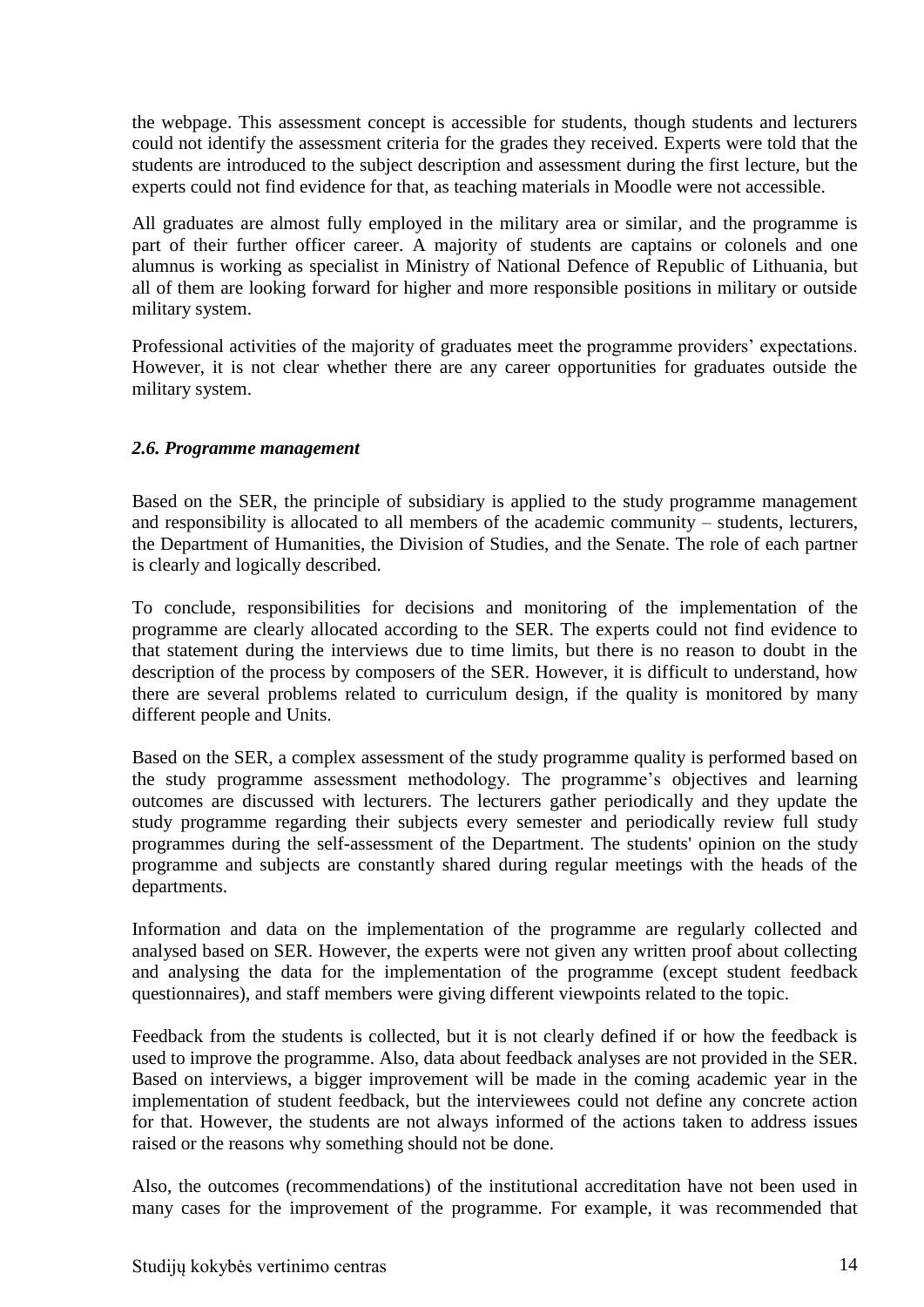the webpage. This assessment concept is accessible for students, though students and lecturers could not identify the assessment criteria for the grades they received. Experts were told that the students are introduced to the subject description and assessment during the first lecture, but the experts could not find evidence for that, as teaching materials in Moodle were not accessible.

All graduates are almost fully employed in the military area or similar, and the programme is part of their further officer career. A majority of students are captains or colonels and one alumnus is working as specialist in Ministry of National Defence of Republic of Lithuania, but all of them are looking forward for higher and more responsible positions in military or outside military system.

Professional activities of the majority of graduates meet the programme providers' expectations. However, it is not clear whether there are any career opportunities for graduates outside the military system.

### <span id="page-13-0"></span>*2.6. Programme management*

Based on the SER, the principle of subsidiary is applied to the study programme management and responsibility is allocated to all members of the academic community – students, lecturers, the Department of Humanities, the Division of Studies, and the Senate. The role of each partner is clearly and logically described.

To conclude, responsibilities for decisions and monitoring of the implementation of the programme are clearly allocated according to the SER. The experts could not find evidence to that statement during the interviews due to time limits, but there is no reason to doubt in the description of the process by composers of the SER. However, it is difficult to understand, how there are several problems related to curriculum design, if the quality is monitored by many different people and Units.

Based on the SER, a complex assessment of the study programme quality is performed based on the study programme assessment methodology. The programme's objectives and learning outcomes are discussed with lecturers. The lecturers gather periodically and they update the study programme regarding their subjects every semester and periodically review full study programmes during the self-assessment of the Department. The students' opinion on the study programme and subjects are constantly shared during regular meetings with the heads of the departments.

Information and data on the implementation of the programme are regularly collected and analysed based on SER. However, the experts were not given any written proof about collecting and analysing the data for the implementation of the programme (except student feedback questionnaires), and staff members were giving different viewpoints related to the topic.

Feedback from the students is collected, but it is not clearly defined if or how the feedback is used to improve the programme. Also, data about feedback analyses are not provided in the SER. Based on interviews, a bigger improvement will be made in the coming academic year in the implementation of student feedback, but the interviewees could not define any concrete action for that. However, the students are not always informed of the actions taken to address issues raised or the reasons why something should not be done.

Also, the outcomes (recommendations) of the institutional accreditation have not been used in many cases for the improvement of the programme. For example, it was recommended that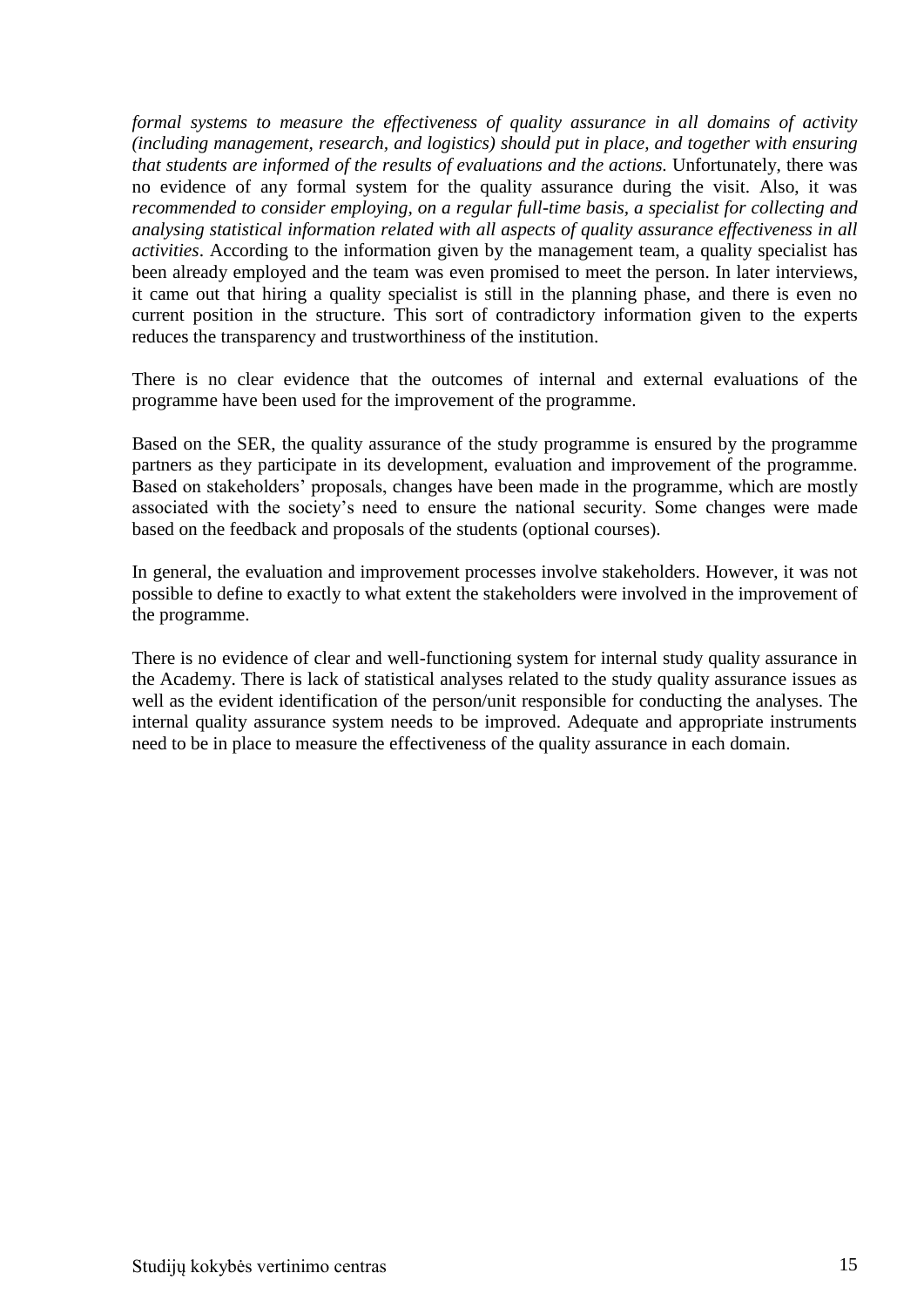*formal systems to measure the effectiveness of quality assurance in all domains of activity (including management, research, and logistics) should put in place, and together with ensuring that students are informed of the results of evaluations and the actions.* Unfortunately, there was no evidence of any formal system for the quality assurance during the visit. Also, it was *recommended to consider employing, on a regular full-time basis, a specialist for collecting and analysing statistical information related with all aspects of quality assurance effectiveness in all activities*. According to the information given by the management team, a quality specialist has been already employed and the team was even promised to meet the person. In later interviews, it came out that hiring a quality specialist is still in the planning phase, and there is even no current position in the structure. This sort of contradictory information given to the experts reduces the transparency and trustworthiness of the institution.

There is no clear evidence that the outcomes of internal and external evaluations of the programme have been used for the improvement of the programme.

Based on the SER, the quality assurance of the study programme is ensured by the programme partners as they participate in its development, evaluation and improvement of the programme. Based on stakeholders' proposals, changes have been made in the programme, which are mostly associated with the society's need to ensure the national security. Some changes were made based on the feedback and proposals of the students (optional courses).

In general, the evaluation and improvement processes involve stakeholders. However, it was not possible to define to exactly to what extent the stakeholders were involved in the improvement of the programme.

<span id="page-14-0"></span>There is no evidence of clear and well-functioning system for internal study quality assurance in the Academy. There is lack of statistical analyses related to the study quality assurance issues as well as the evident identification of the person/unit responsible for conducting the analyses. The internal quality assurance system needs to be improved. Adequate and appropriate instruments need to be in place to measure the effectiveness of the quality assurance in each domain.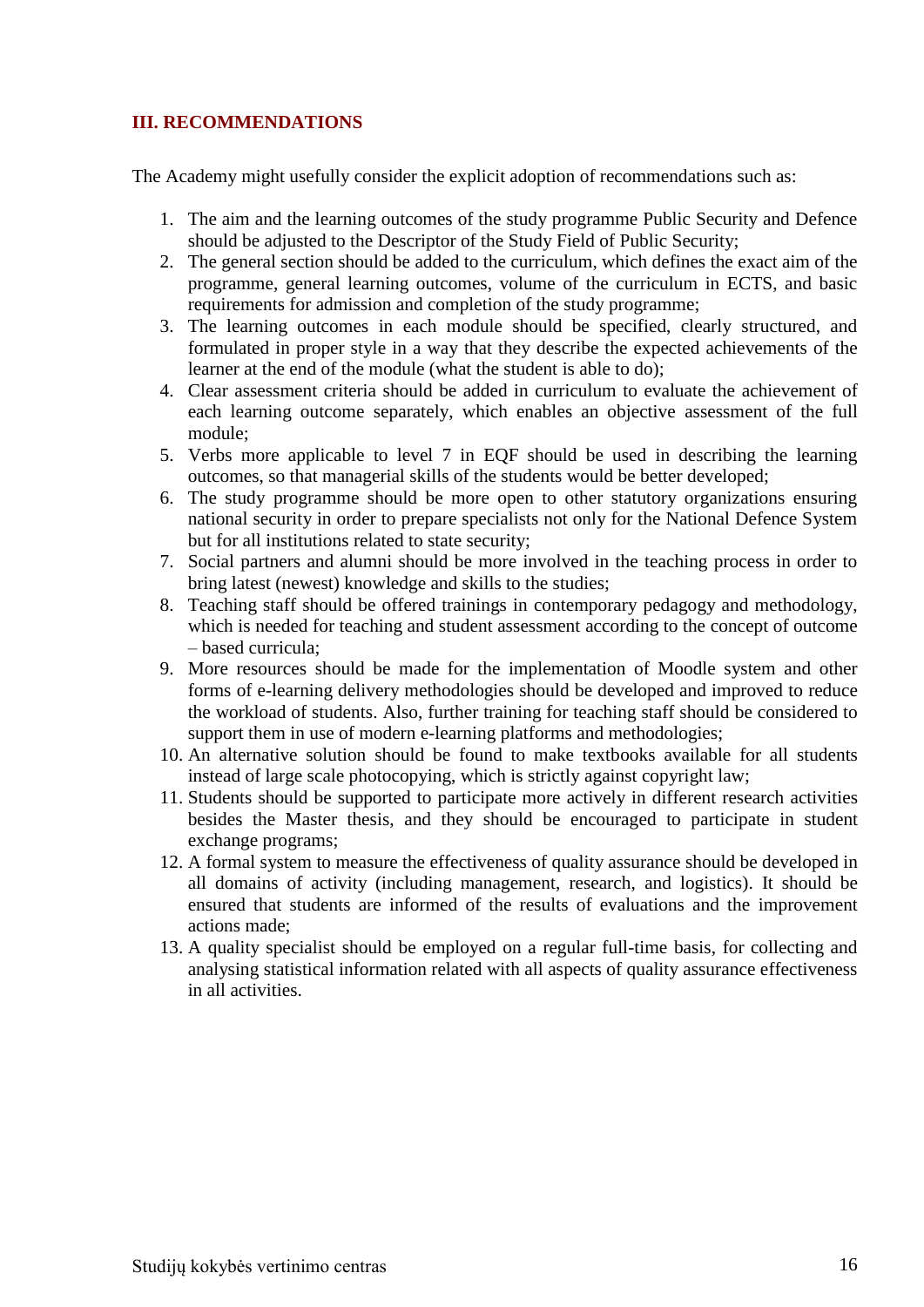## **III. RECOMMENDATIONS**

The Academy might usefully consider the explicit adoption of recommendations such as:

- 1. The aim and the learning outcomes of the study programme Public Security and Defence should be adjusted to the Descriptor of the Study Field of Public Security;
- 2. The general section should be added to the curriculum, which defines the exact aim of the programme, general learning outcomes, volume of the curriculum in ECTS, and basic requirements for admission and completion of the study programme;
- 3. The learning outcomes in each module should be specified, clearly structured, and formulated in proper style in a way that they describe the expected achievements of the learner at the end of the module (what the student is able to do);
- 4. Clear assessment criteria should be added in curriculum to evaluate the achievement of each learning outcome separately, which enables an objective assessment of the full module;
- 5. Verbs more applicable to level 7 in EQF should be used in describing the learning outcomes, so that managerial skills of the students would be better developed;
- 6. The study programme should be more open to other statutory organizations ensuring national security in order to prepare specialists not only for the National Defence System but for all institutions related to state security;
- 7. Social partners and alumni should be more involved in the teaching process in order to bring latest (newest) knowledge and skills to the studies;
- 8. Teaching staff should be offered trainings in contemporary pedagogy and methodology, which is needed for teaching and student assessment according to the concept of outcome – based curricula;
- 9. More resources should be made for the implementation of Moodle system and other forms of e-learning delivery methodologies should be developed and improved to reduce the workload of students. Also, further training for teaching staff should be considered to support them in use of modern e-learning platforms and methodologies;
- 10. An alternative solution should be found to make textbooks available for all students instead of large scale photocopying, which is strictly against copyright law;
- 11. Students should be supported to participate more actively in different research activities besides the Master thesis, and they should be encouraged to participate in student exchange programs;
- 12. A formal system to measure the effectiveness of quality assurance should be developed in all domains of activity (including management, research, and logistics). It should be ensured that students are informed of the results of evaluations and the improvement actions made;
- 13. A quality specialist should be employed on a regular full-time basis, for collecting and analysing statistical information related with all aspects of quality assurance effectiveness in all activities.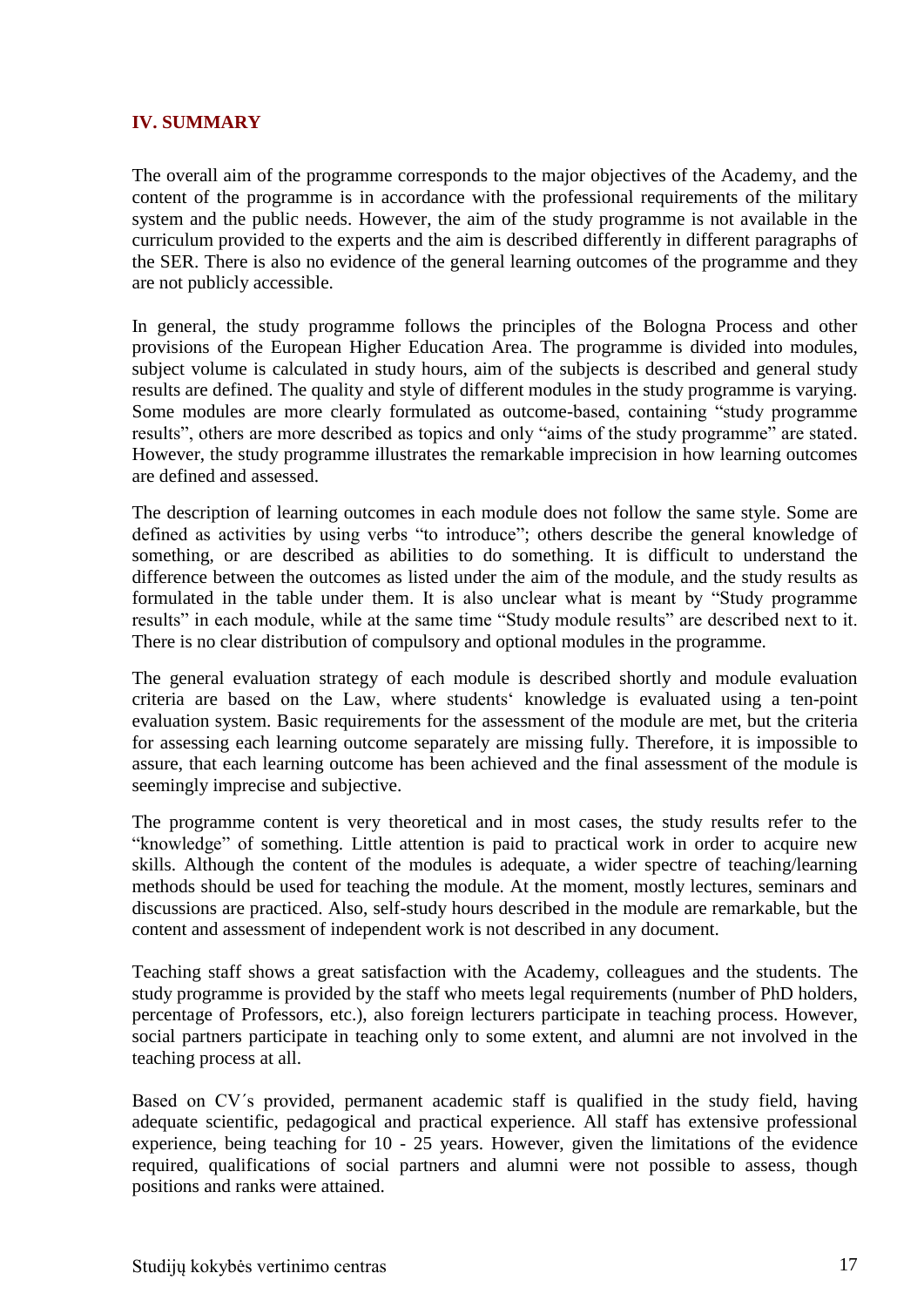#### <span id="page-16-0"></span>**IV. SUMMARY**

The overall aim of the programme corresponds to the major objectives of the Academy, and the content of the programme is in accordance with the professional requirements of the military system and the public needs. However, the aim of the study programme is not available in the curriculum provided to the experts and the aim is described differently in different paragraphs of the SER. There is also no evidence of the general learning outcomes of the programme and they are not publicly accessible.

In general, the study programme follows the principles of the Bologna Process and other provisions of the European Higher Education Area. The programme is divided into modules, subject volume is calculated in study hours, aim of the subjects is described and general study results are defined. The quality and style of different modules in the study programme is varying. Some modules are more clearly formulated as outcome-based, containing "study programme results", others are more described as topics and only "aims of the study programme" are stated. However, the study programme illustrates the remarkable imprecision in how learning outcomes are defined and assessed.

The description of learning outcomes in each module does not follow the same style. Some are defined as activities by using verbs "to introduce"; others describe the general knowledge of something, or are described as abilities to do something. It is difficult to understand the difference between the outcomes as listed under the aim of the module, and the study results as formulated in the table under them. It is also unclear what is meant by "Study programme results" in each module, while at the same time "Study module results" are described next to it. There is no clear distribution of compulsory and optional modules in the programme.

The general evaluation strategy of each module is described shortly and module evaluation criteria are based on the Law, where students' knowledge is evaluated using a ten-point evaluation system. Basic requirements for the assessment of the module are met, but the criteria for assessing each learning outcome separately are missing fully. Therefore, it is impossible to assure, that each learning outcome has been achieved and the final assessment of the module is seemingly imprecise and subjective.

The programme content is very theoretical and in most cases, the study results refer to the "knowledge" of something. Little attention is paid to practical work in order to acquire new skills. Although the content of the modules is adequate, a wider spectre of teaching/learning methods should be used for teaching the module. At the moment, mostly lectures, seminars and discussions are practiced. Also, self-study hours described in the module are remarkable, but the content and assessment of independent work is not described in any document.

Teaching staff shows a great satisfaction with the Academy, colleagues and the students. The study programme is provided by the staff who meets legal requirements (number of PhD holders, percentage of Professors, etc.), also foreign lecturers participate in teaching process. However, social partners participate in teaching only to some extent, and alumni are not involved in the teaching process at all.

Based on CV´s provided, permanent academic staff is qualified in the study field, having adequate scientific, pedagogical and practical experience. All staff has extensive professional experience, being teaching for 10 - 25 years. However, given the limitations of the evidence required, qualifications of social partners and alumni were not possible to assess, though positions and ranks were attained.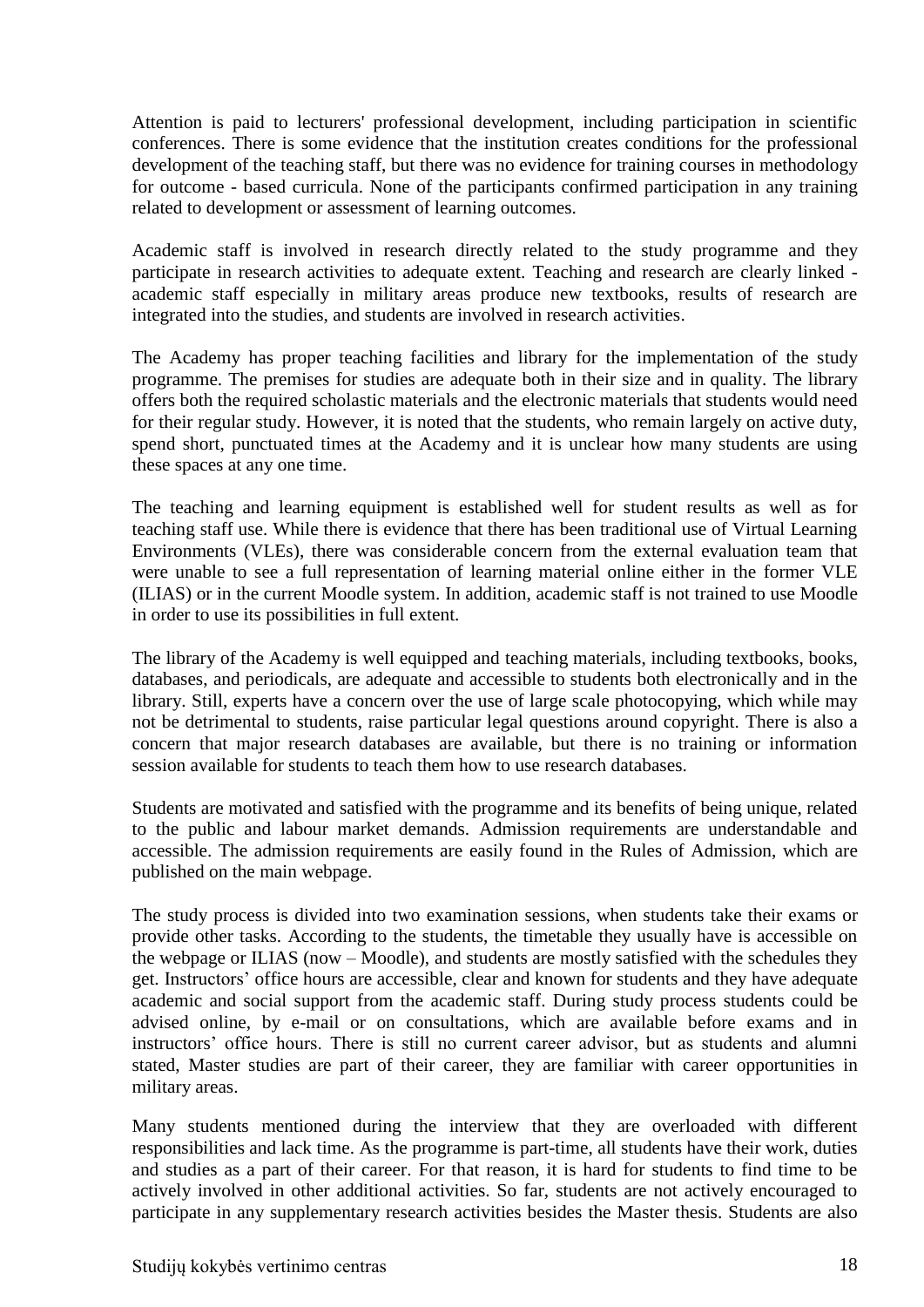Attention is paid to lecturers' professional development, including participation in scientific conferences. There is some evidence that the institution creates conditions for the professional development of the teaching staff, but there was no evidence for training courses in methodology for outcome - based curricula. None of the participants confirmed participation in any training related to development or assessment of learning outcomes.

Academic staff is involved in research directly related to the study programme and they participate in research activities to adequate extent. Teaching and research are clearly linked academic staff especially in military areas produce new textbooks, results of research are integrated into the studies, and students are involved in research activities.

The Academy has proper teaching facilities and library for the implementation of the study programme. The premises for studies are adequate both in their size and in quality. The library offers both the required scholastic materials and the electronic materials that students would need for their regular study. However, it is noted that the students, who remain largely on active duty, spend short, punctuated times at the Academy and it is unclear how many students are using these spaces at any one time.

The teaching and learning equipment is established well for student results as well as for teaching staff use. While there is evidence that there has been traditional use of Virtual Learning Environments (VLEs), there was considerable concern from the external evaluation team that were unable to see a full representation of learning material online either in the former VLE (ILIAS) or in the current Moodle system. In addition, academic staff is not trained to use Moodle in order to use its possibilities in full extent.

The library of the Academy is well equipped and teaching materials, including textbooks, books, databases, and periodicals, are adequate and accessible to students both electronically and in the library. Still, experts have a concern over the use of large scale photocopying, which while may not be detrimental to students, raise particular legal questions around copyright. There is also a concern that major research databases are available, but there is no training or information session available for students to teach them how to use research databases.

Students are motivated and satisfied with the programme and its benefits of being unique, related to the public and labour market demands. Admission requirements are understandable and accessible. The admission requirements are easily found in the Rules of Admission, which are published on the main webpage.

The study process is divided into two examination sessions, when students take their exams or provide other tasks. According to the students, the timetable they usually have is accessible on the webpage or ILIAS (now – Moodle), and students are mostly satisfied with the schedules they get. Instructors' office hours are accessible, clear and known for students and they have adequate academic and social support from the academic staff. During study process students could be advised online, by e-mail or on consultations, which are available before exams and in instructors' office hours. There is still no current career advisor, but as students and alumni stated, Master studies are part of their career, they are familiar with career opportunities in military areas.

Many students mentioned during the interview that they are overloaded with different responsibilities and lack time. As the programme is part-time, all students have their work, duties and studies as a part of their career. For that reason, it is hard for students to find time to be actively involved in other additional activities. So far, students are not actively encouraged to participate in any supplementary research activities besides the Master thesis. Students are also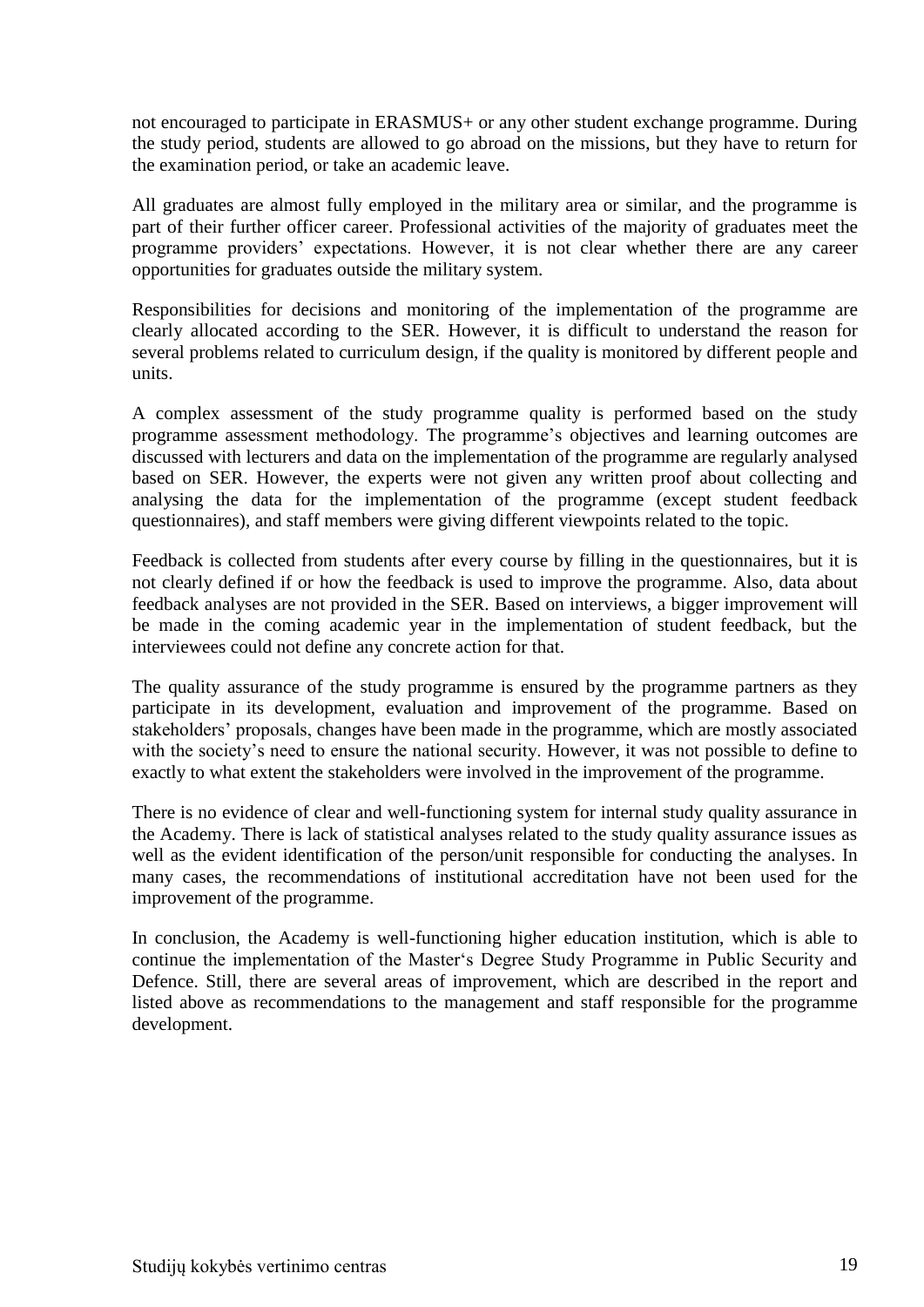not encouraged to participate in ERASMUS+ or any other student exchange programme. During the study period, students are allowed to go abroad on the missions, but they have to return for the examination period, or take an academic leave.

All graduates are almost fully employed in the military area or similar, and the programme is part of their further officer career. Professional activities of the majority of graduates meet the programme providers' expectations. However, it is not clear whether there are any career opportunities for graduates outside the military system.

Responsibilities for decisions and monitoring of the implementation of the programme are clearly allocated according to the SER. However, it is difficult to understand the reason for several problems related to curriculum design, if the quality is monitored by different people and units.

A complex assessment of the study programme quality is performed based on the study programme assessment methodology. The programme's objectives and learning outcomes are discussed with lecturers and data on the implementation of the programme are regularly analysed based on SER. However, the experts were not given any written proof about collecting and analysing the data for the implementation of the programme (except student feedback questionnaires), and staff members were giving different viewpoints related to the topic.

Feedback is collected from students after every course by filling in the questionnaires, but it is not clearly defined if or how the feedback is used to improve the programme. Also, data about feedback analyses are not provided in the SER. Based on interviews, a bigger improvement will be made in the coming academic year in the implementation of student feedback, but the interviewees could not define any concrete action for that.

The quality assurance of the study programme is ensured by the programme partners as they participate in its development, evaluation and improvement of the programme. Based on stakeholders' proposals, changes have been made in the programme, which are mostly associated with the society's need to ensure the national security. However, it was not possible to define to exactly to what extent the stakeholders were involved in the improvement of the programme.

There is no evidence of clear and well-functioning system for internal study quality assurance in the Academy. There is lack of statistical analyses related to the study quality assurance issues as well as the evident identification of the person/unit responsible for conducting the analyses. In many cases, the recommendations of institutional accreditation have not been used for the improvement of the programme.

In conclusion, the Academy is well-functioning higher education institution, which is able to continue the implementation of the Master's Degree Study Programme in Public Security and Defence. Still, there are several areas of improvement, which are described in the report and listed above as recommendations to the management and staff responsible for the programme development.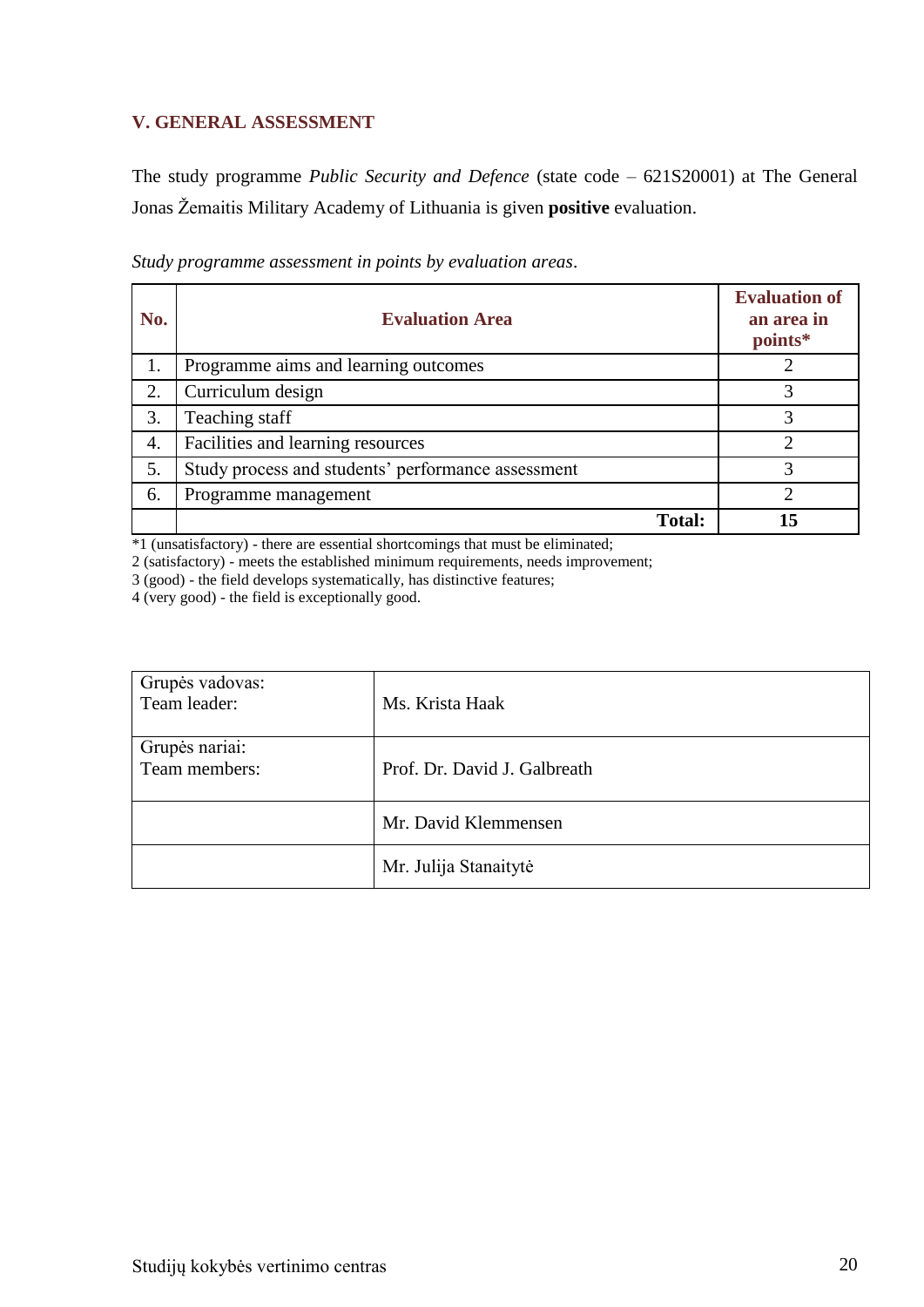# <span id="page-19-0"></span>**V. GENERAL ASSESSMENT**

The study programme *Public Security and Defence* (state code – 621S20001) at The General Jonas Žemaitis Military Academy of Lithuania is given **positive** evaluation.

| No. | <b>Evaluation Area</b>                             | <b>Evaluation of</b><br>an area in<br>points* |
|-----|----------------------------------------------------|-----------------------------------------------|
| 1.  | Programme aims and learning outcomes               |                                               |
| 2.  | Curriculum design                                  |                                               |
| 3.  | Teaching staff                                     | 3                                             |
| 4.  | Facilities and learning resources                  | ◠                                             |
| 5.  | Study process and students' performance assessment | 3                                             |
| 6.  | Programme management                               |                                               |
|     | <b>Total:</b>                                      | 15                                            |

*Study programme assessment in points by evaluation areas*.

\*1 (unsatisfactory) - there are essential shortcomings that must be eliminated;

2 (satisfactory) - meets the established minimum requirements, needs improvement;

3 (good) - the field develops systematically, has distinctive features;

4 (very good) - the field is exceptionally good.

| Grupės vadovas:<br>Team leader: | Ms. Krista Haak              |
|---------------------------------|------------------------------|
| Grupės nariai:<br>Team members: | Prof. Dr. David J. Galbreath |
|                                 | Mr. David Klemmensen         |
|                                 | Mr. Julija Stanaitytė        |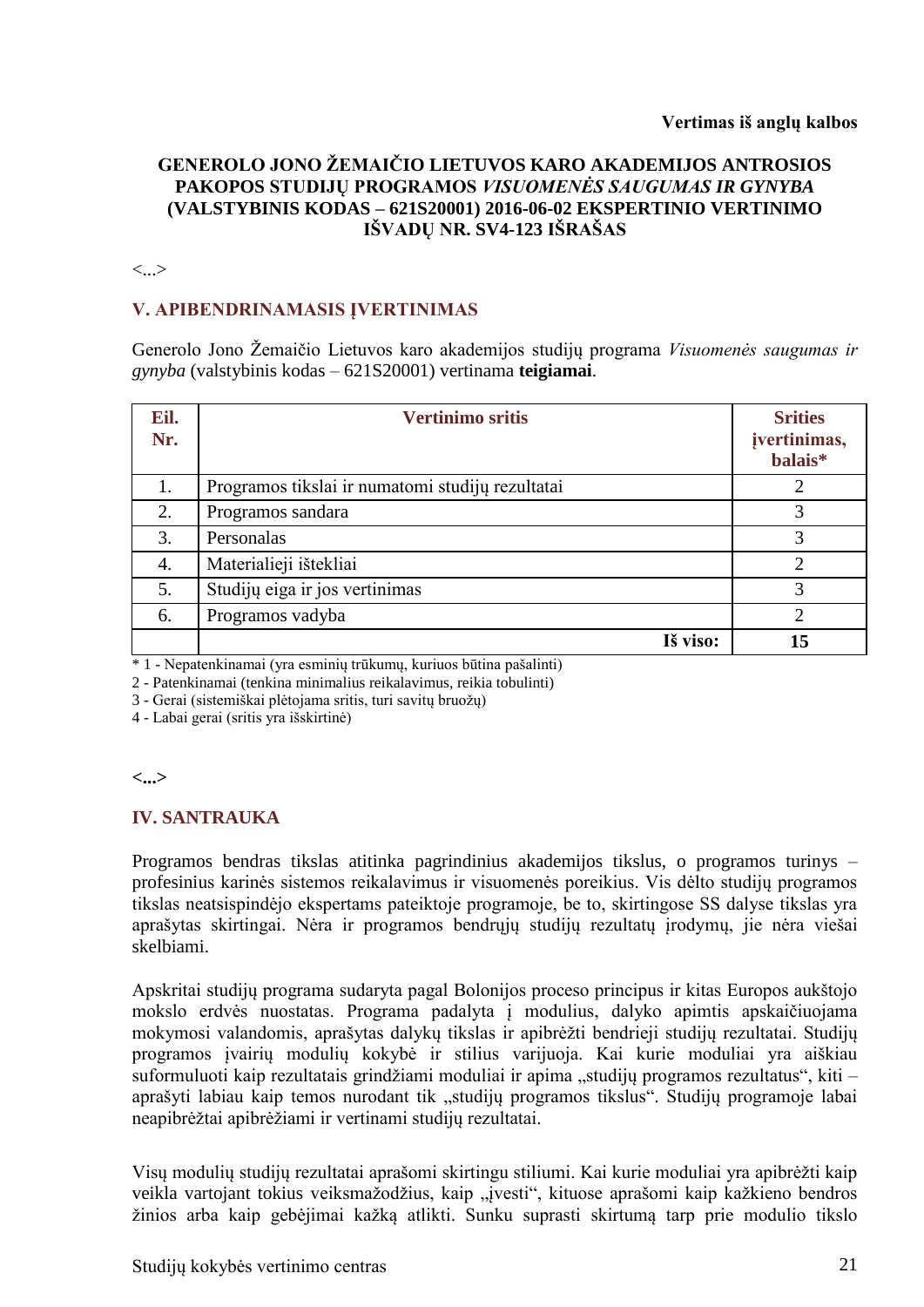## **GENEROLO JONO ŽEMAIČIO LIETUVOS KARO AKADEMIJOS ANTROSIOS PAKOPOS STUDIJŲ PROGRAMOS** *VISUOMENĖS SAUGUMAS IR GYNYBA*  **(VALSTYBINIS KODAS – 621S20001) 2016-06-02 EKSPERTINIO VERTINIMO IŠVADŲ NR. SV4-123 IŠRAŠAS**

#### <...>

#### **V. APIBENDRINAMASIS ĮVERTINIMAS**

Generolo Jono Žemaičio Lietuvos karo akademijos studijų programa *Visuomenės saugumas ir gynyba* (valstybinis kodas – 621S20001) vertinama **teigiamai**.

| Eil.<br>Nr. | <b>Vertinimo sritis</b>                          | <b>Srities</b><br>įvertinimas,<br>balais* |
|-------------|--------------------------------------------------|-------------------------------------------|
| 1.          | Programos tikslai ir numatomi studijų rezultatai |                                           |
| 2.          | Programos sandara                                | 3                                         |
| 3.          | Personalas                                       | 3                                         |
| 4.          | Materialieji ištekliai                           | ◠                                         |
| 5.          | Studijų eiga ir jos vertinimas                   | 3                                         |
| 6.          | Programos vadyba                                 | റ                                         |
|             | Iš viso:                                         | 15                                        |

\* 1 - Nepatenkinamai (yra esminių trūkumų, kuriuos būtina pašalinti)

2 - Patenkinamai (tenkina minimalius reikalavimus, reikia tobulinti)

3 - Gerai (sistemiškai plėtojama sritis, turi savitų bruožų)

4 - Labai gerai (sritis yra išskirtinė)

#### **<...>**

#### **IV. SANTRAUKA**

Programos bendras tikslas atitinka pagrindinius akademijos tikslus, o programos turinys – profesinius karinės sistemos reikalavimus ir visuomenės poreikius. Vis dėlto studijų programos tikslas neatsispindėjo ekspertams pateiktoje programoje, be to, skirtingose SS dalyse tikslas yra aprašytas skirtingai. Nėra ir programos bendrųjų studijų rezultatų įrodymų, jie nėra viešai skelbiami.

Apskritai studijų programa sudaryta pagal Bolonijos proceso principus ir kitas Europos aukštojo mokslo erdvės nuostatas. Programa padalyta į modulius, dalyko apimtis apskaičiuojama mokymosi valandomis, aprašytas dalykų tikslas ir apibrėžti bendrieji studijų rezultatai. Studijų programos įvairių modulių kokybė ir stilius varijuoja. Kai kurie moduliai yra aiškiau suformuluoti kaip rezultatais grindžiami moduliai ir apima "studijų programos rezultatus", kiti – aprašyti labiau kaip temos nurodant tik "studijų programos tikslus". Studijų programoje labai neapibrėžtai apibrėžiami ir vertinami studijų rezultatai.

Visų modulių studijų rezultatai aprašomi skirtingu stiliumi. Kai kurie moduliai yra apibrėžti kaip veikla vartojant tokius veiksmažodžius, kaip "įvesti", kituose aprašomi kaip kažkieno bendros žinios arba kaip gebėjimai kažką atlikti. Sunku suprasti skirtumą tarp prie modulio tikslo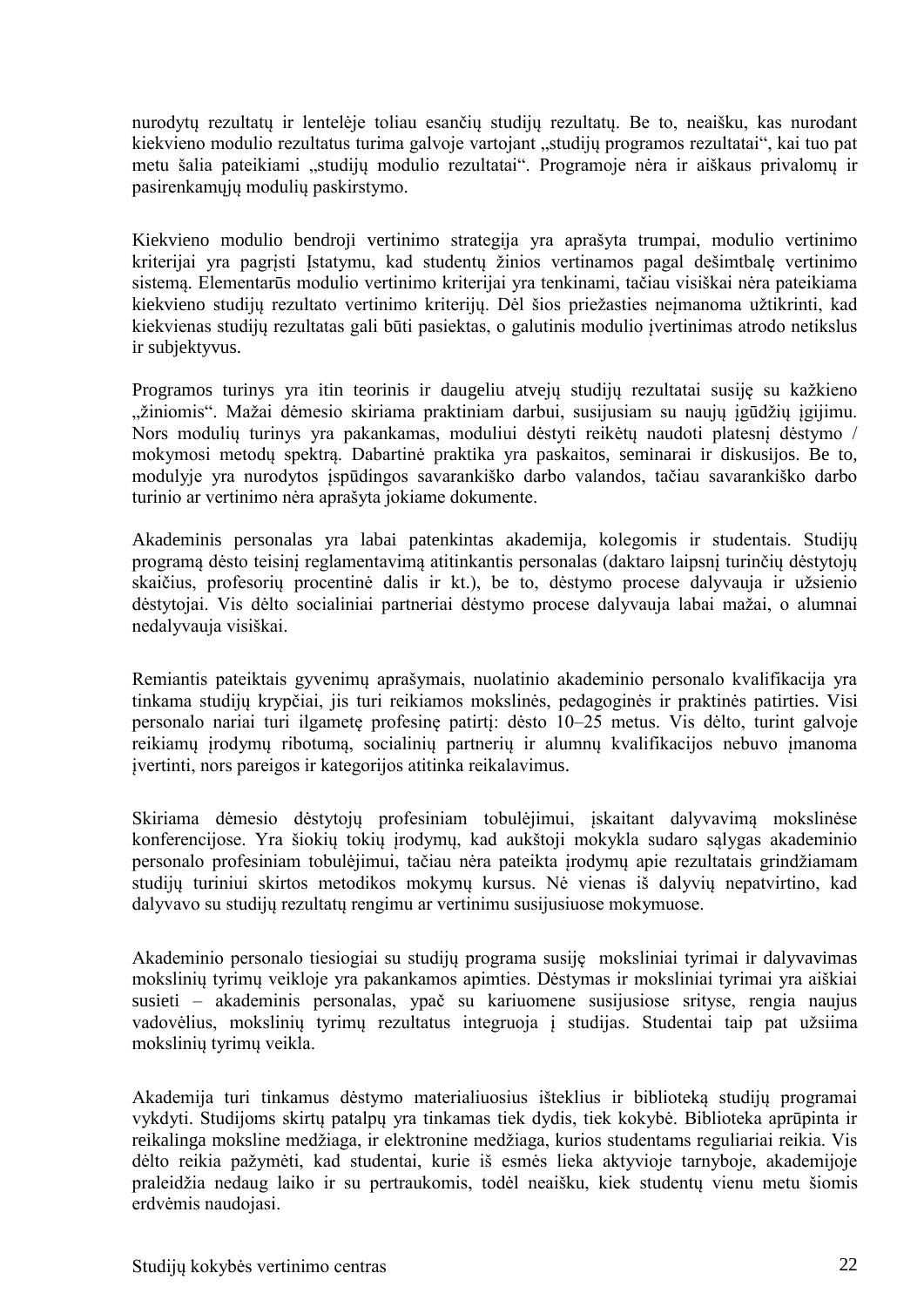nurodytų rezultatų ir lentelėje toliau esančių studijų rezultatų. Be to, neaišku, kas nurodant kiekvieno modulio rezultatus turima galvoje vartojant "studijų programos rezultatai", kai tuo pat metu šalia pateikiami "studijų modulio rezultatai". Programoje nėra ir aiškaus privalomų ir pasirenkamųjų modulių paskirstymo.

Kiekvieno modulio bendroji vertinimo strategija yra aprašyta trumpai, modulio vertinimo kriterijai yra pagrįsti Įstatymu, kad studentų žinios vertinamos pagal dešimtbalę vertinimo sistemą. Elementarūs modulio vertinimo kriterijai yra tenkinami, tačiau visiškai nėra pateikiama kiekvieno studijų rezultato vertinimo kriterijų. Dėl šios priežasties neįmanoma užtikrinti, kad kiekvienas studijų rezultatas gali būti pasiektas, o galutinis modulio įvertinimas atrodo netikslus ir subjektyvus.

Programos turinys yra itin teorinis ir daugeliu atvejų studijų rezultatai susiję su kažkieno "žiniomis". Mažai dėmesio skiriama praktiniam darbui, susijusiam su naujų įgūdžių įgijimu. Nors modulių turinys yra pakankamas, moduliui dėstyti reikėtų naudoti platesnį dėstymo / mokymosi metodų spektrą. Dabartinė praktika yra paskaitos, seminarai ir diskusijos. Be to, modulyje yra nurodytos įspūdingos savarankiško darbo valandos, tačiau savarankiško darbo turinio ar vertinimo nėra aprašyta jokiame dokumente.

Akademinis personalas yra labai patenkintas akademija, kolegomis ir studentais. Studijų programą dėsto teisinį reglamentavimą atitinkantis personalas (daktaro laipsnį turinčių dėstytojų skaičius, profesorių procentinė dalis ir kt.), be to, dėstymo procese dalyvauja ir užsienio dėstytojai. Vis dėlto socialiniai partneriai dėstymo procese dalyvauja labai mažai, o alumnai nedalyvauja visiškai.

Remiantis pateiktais gyvenimų aprašymais, nuolatinio akademinio personalo kvalifikacija yra tinkama studijų krypčiai, jis turi reikiamos mokslinės, pedagoginės ir praktinės patirties. Visi personalo nariai turi ilgametę profesinę patirtį: dėsto 10–25 metus. Vis dėlto, turint galvoje reikiamų įrodymų ribotumą, socialinių partnerių ir alumnų kvalifikacijos nebuvo įmanoma įvertinti, nors pareigos ir kategorijos atitinka reikalavimus.

Skiriama dėmesio dėstytojų profesiniam tobulėjimui, įskaitant dalyvavimą mokslinėse konferencijose. Yra šiokių tokių įrodymų, kad aukštoji mokykla sudaro sąlygas akademinio personalo profesiniam tobulėjimui, tačiau nėra pateikta įrodymų apie rezultatais grindžiamam studijų turiniui skirtos metodikos mokymų kursus. Nė vienas iš dalyvių nepatvirtino, kad dalyvavo su studijų rezultatų rengimu ar vertinimu susijusiuose mokymuose.

Akademinio personalo tiesiogiai su studijų programa susiję moksliniai tyrimai ir dalyvavimas mokslinių tyrimų veikloje yra pakankamos apimties. Dėstymas ir moksliniai tyrimai yra aiškiai susieti – akademinis personalas, ypač su kariuomene susijusiose srityse, rengia naujus vadovėlius, mokslinių tyrimų rezultatus integruoja į studijas. Studentai taip pat užsiima mokslinių tyrimų veikla.

Akademija turi tinkamus dėstymo materialiuosius išteklius ir biblioteką studijų programai vykdyti. Studijoms skirtų patalpų yra tinkamas tiek dydis, tiek kokybė. Biblioteka aprūpinta ir reikalinga moksline medžiaga, ir elektronine medžiaga, kurios studentams reguliariai reikia. Vis dėlto reikia pažymėti, kad studentai, kurie iš esmės lieka aktyvioje tarnyboje, akademijoje praleidžia nedaug laiko ir su pertraukomis, todėl neaišku, kiek studentų vienu metu šiomis erdvėmis naudojasi.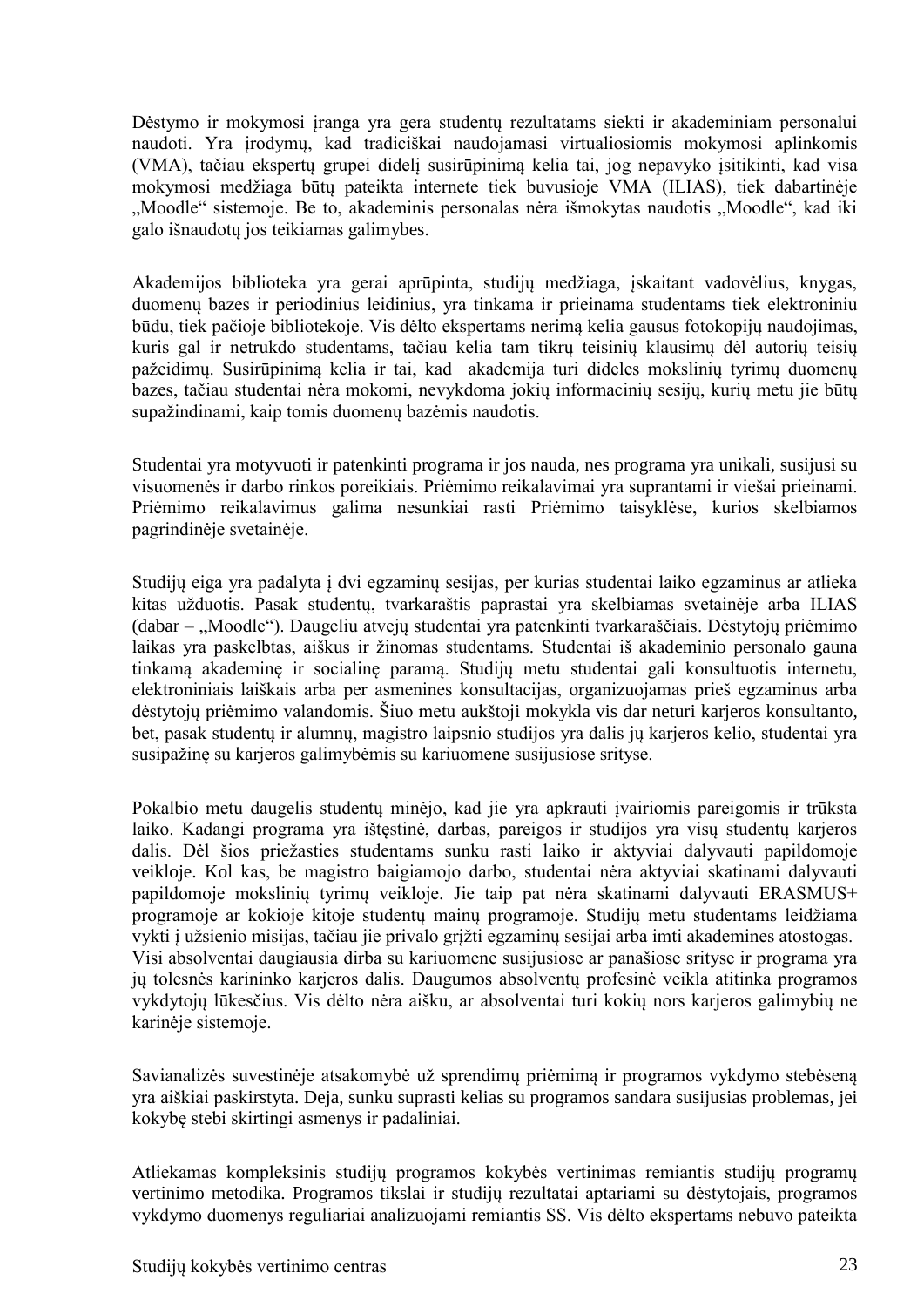Dėstymo ir mokymosi įranga yra gera studentų rezultatams siekti ir akademiniam personalui naudoti. Yra įrodymų, kad tradiciškai naudojamasi virtualiosiomis mokymosi aplinkomis (VMA), tačiau ekspertų grupei didelį susirūpinimą kelia tai, jog nepavyko įsitikinti, kad visa mokymosi medžiaga būtų pateikta internete tiek buvusioje VMA (ILIAS), tiek dabartinėje "Moodle" sistemoje. Be to, akademinis personalas nėra išmokytas naudotis "Moodle", kad iki galo išnaudotų jos teikiamas galimybes.

Akademijos biblioteka yra gerai aprūpinta, studijų medžiaga, įskaitant vadovėlius, knygas, duomenų bazes ir periodinius leidinius, yra tinkama ir prieinama studentams tiek elektroniniu būdu, tiek pačioje bibliotekoje. Vis dėlto ekspertams nerimą kelia gausus fotokopijų naudojimas, kuris gal ir netrukdo studentams, tačiau kelia tam tikrų teisinių klausimų dėl autorių teisių pažeidimų. Susirūpinimą kelia ir tai, kad akademija turi dideles mokslinių tyrimų duomenų bazes, tačiau studentai nėra mokomi, nevykdoma jokių informacinių sesijų, kurių metu jie būtų supažindinami, kaip tomis duomenų bazėmis naudotis.

Studentai yra motyvuoti ir patenkinti programa ir jos nauda, nes programa yra unikali, susijusi su visuomenės ir darbo rinkos poreikiais. Priėmimo reikalavimai yra suprantami ir viešai prieinami. Priėmimo reikalavimus galima nesunkiai rasti Priėmimo taisyklėse, kurios skelbiamos pagrindinėje svetainėje.

Studijų eiga yra padalyta į dvi egzaminų sesijas, per kurias studentai laiko egzaminus ar atlieka kitas užduotis. Pasak studentų, tvarkaraštis paprastai yra skelbiamas svetainėje arba ILIAS (dabar – "Moodle"). Daugeliu atvejų studentai yra patenkinti tvarkaraščiais. Dėstytojų priėmimo laikas yra paskelbtas, aiškus ir žinomas studentams. Studentai iš akademinio personalo gauna tinkamą akademinę ir socialinę paramą. Studijų metu studentai gali konsultuotis internetu, elektroniniais laiškais arba per asmenines konsultacijas, organizuojamas prieš egzaminus arba dėstytojų priėmimo valandomis. Šiuo metu aukštoji mokykla vis dar neturi karjeros konsultanto, bet, pasak studentų ir alumnų, magistro laipsnio studijos yra dalis jų karjeros kelio, studentai yra susipažinę su karjeros galimybėmis su kariuomene susijusiose srityse.

Pokalbio metu daugelis studentų minėjo, kad jie yra apkrauti įvairiomis pareigomis ir trūksta laiko. Kadangi programa yra ištęstinė, darbas, pareigos ir studijos yra visų studentų karjeros dalis. Dėl šios priežasties studentams sunku rasti laiko ir aktyviai dalyvauti papildomoje veikloje. Kol kas, be magistro baigiamojo darbo, studentai nėra aktyviai skatinami dalyvauti papildomoje mokslinių tyrimų veikloje. Jie taip pat nėra skatinami dalyvauti ERASMUS+ programoje ar kokioje kitoje studentų mainų programoje. Studijų metu studentams leidžiama vykti į užsienio misijas, tačiau jie privalo grįžti egzaminų sesijai arba imti akademines atostogas. Visi absolventai daugiausia dirba su kariuomene susijusiose ar panašiose srityse ir programa yra jų tolesnės karininko karjeros dalis. Daugumos absolventų profesinė veikla atitinka programos vykdytojų lūkesčius. Vis dėlto nėra aišku, ar absolventai turi kokių nors karjeros galimybių ne karinėje sistemoje.

Savianalizės suvestinėje atsakomybė už sprendimų priėmimą ir programos vykdymo stebėseną yra aiškiai paskirstyta. Deja, sunku suprasti kelias su programos sandara susijusias problemas, jei kokybę stebi skirtingi asmenys ir padaliniai.

Atliekamas kompleksinis studijų programos kokybės vertinimas remiantis studijų programų vertinimo metodika. Programos tikslai ir studijų rezultatai aptariami su dėstytojais, programos vykdymo duomenys reguliariai analizuojami remiantis SS. Vis dėlto ekspertams nebuvo pateikta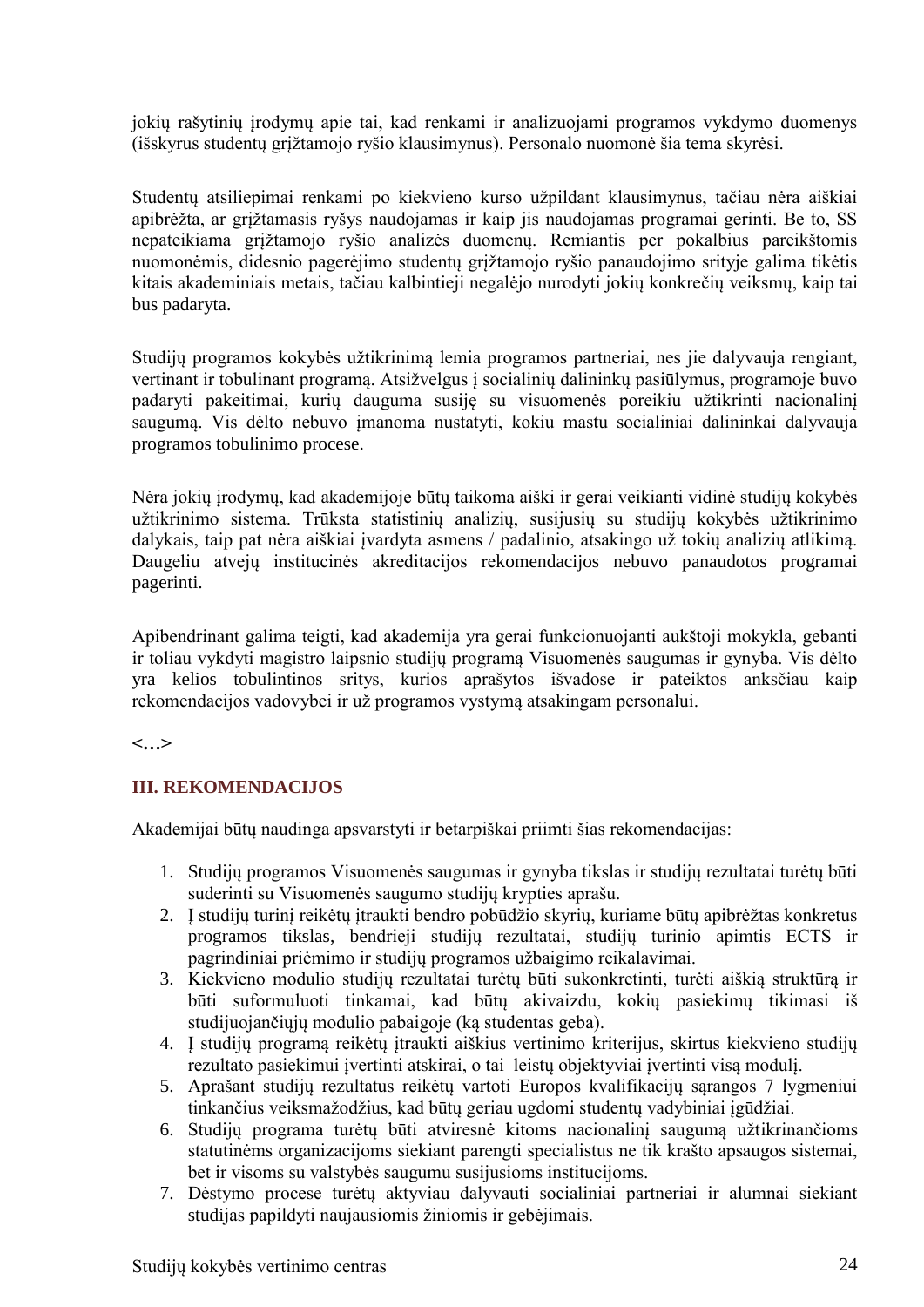jokių rašytinių įrodymų apie tai, kad renkami ir analizuojami programos vykdymo duomenys (išskyrus studentų grįžtamojo ryšio klausimynus). Personalo nuomonė šia tema skyrėsi.

Studentų atsiliepimai renkami po kiekvieno kurso užpildant klausimynus, tačiau nėra aiškiai apibrėžta, ar grįžtamasis ryšys naudojamas ir kaip jis naudojamas programai gerinti. Be to, SS nepateikiama grįžtamojo ryšio analizės duomenų. Remiantis per pokalbius pareikštomis nuomonėmis, didesnio pagerėjimo studentų grįžtamojo ryšio panaudojimo srityje galima tikėtis kitais akademiniais metais, tačiau kalbintieji negalėjo nurodyti jokių konkrečių veiksmų, kaip tai bus padaryta.

Studijų programos kokybės užtikrinimą lemia programos partneriai, nes jie dalyvauja rengiant, vertinant ir tobulinant programą. Atsižvelgus į socialinių dalininkų pasiūlymus, programoje buvo padaryti pakeitimai, kurių dauguma susiję su visuomenės poreikiu užtikrinti nacionalinį saugumą. Vis dėlto nebuvo įmanoma nustatyti, kokiu mastu socialiniai dalininkai dalyvauja programos tobulinimo procese.

Nėra jokių įrodymų, kad akademijoje būtų taikoma aiški ir gerai veikianti vidinė studijų kokybės užtikrinimo sistema. Trūksta statistinių analizių, susijusių su studijų kokybės užtikrinimo dalykais, taip pat nėra aiškiai įvardyta asmens / padalinio, atsakingo už tokių analizių atlikimą. Daugeliu atvejų institucinės akreditacijos rekomendacijos nebuvo panaudotos programai pagerinti.

Apibendrinant galima teigti, kad akademija yra gerai funkcionuojanti aukštoji mokykla, gebanti ir toliau vykdyti magistro laipsnio studijų programą Visuomenės saugumas ir gynyba. Vis dėlto yra kelios tobulintinos sritys, kurios aprašytos išvadose ir pateiktos anksčiau kaip rekomendacijos vadovybei ir už programos vystymą atsakingam personalui.

**<…>**

# **III. REKOMENDACIJOS**

Akademijai būtų naudinga apsvarstyti ir betarpiškai priimti šias rekomendacijas:

- 1. Studijų programos Visuomenės saugumas ir gynyba tikslas ir studijų rezultatai turėtų būti suderinti su Visuomenės saugumo studijų krypties aprašu.
- 2. Į studijų turinį reikėtų įtraukti bendro pobūdžio skyrių, kuriame būtų apibrėžtas konkretus programos tikslas, bendrieji studijų rezultatai, studijų turinio apimtis ECTS ir pagrindiniai priėmimo ir studijų programos užbaigimo reikalavimai.
- 3. Kiekvieno modulio studijų rezultatai turėtų būti sukonkretinti, turėti aiškią struktūrą ir būti suformuluoti tinkamai, kad būtų akivaizdu, kokių pasiekimų tikimasi iš studijuojančiųjų modulio pabaigoje (ką studentas geba).
- 4. Į studijų programą reikėtų įtraukti aiškius vertinimo kriterijus, skirtus kiekvieno studijų rezultato pasiekimui įvertinti atskirai, o tai leistų objektyviai įvertinti visą modulį.
- 5. Aprašant studijų rezultatus reikėtų vartoti Europos kvalifikacijų sąrangos 7 lygmeniui tinkančius veiksmažodžius, kad būtų geriau ugdomi studentų vadybiniai įgūdžiai.
- 6. Studijų programa turėtų būti atviresnė kitoms nacionalinį saugumą užtikrinančioms statutinėms organizacijoms siekiant parengti specialistus ne tik krašto apsaugos sistemai, bet ir visoms su valstybės saugumu susijusioms institucijoms.
- 7. Dėstymo procese turėtų aktyviau dalyvauti socialiniai partneriai ir alumnai siekiant studijas papildyti naujausiomis žiniomis ir gebėjimais.